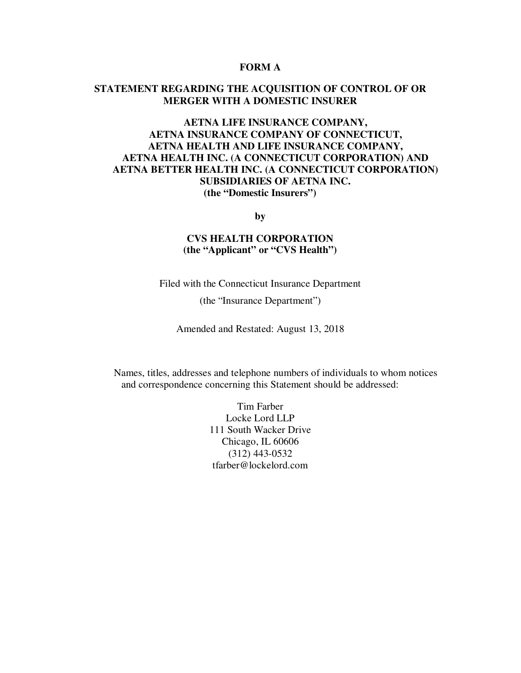### **FORM A**

# **STATEMENT REGARDING THE ACQUISITION OF CONTROL OF OR MERGER WITH A DOMESTIC INSURER**

# **AETNA LIFE INSURANCE COMPANY, AETNA INSURANCE COMPANY OF CONNECTICUT, AETNA HEALTH AND LIFE INSURANCE COMPANY, AETNA HEALTH INC. (A CONNECTICUT CORPORATION) AND AETNA BETTER HEALTH INC. (A CONNECTICUT CORPORATION) SUBSIDIARIES OF AETNA INC. (the "Domestic Insurers")**

**by** 

# **CVS HEALTH CORPORATION (the "Applicant" or "CVS Health")**

Filed with the Connecticut Insurance Department

(the "Insurance Department")

Amended and Restated: August 13, 2018

Names, titles, addresses and telephone numbers of individuals to whom notices and correspondence concerning this Statement should be addressed:

> Tim Farber Locke Lord LLP 111 South Wacker Drive Chicago, IL 60606 (312) 443-0532 tfarber@lockelord.com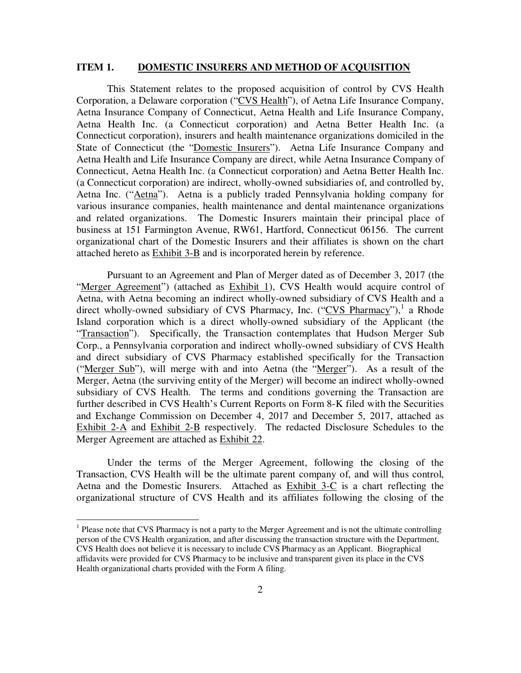#### **ITEM 1. DOMESTIC INSURERS AND METHOD OF ACQUISITION**

This Statement relates to the proposed acquisition of control by CVS Health Corporation, a Delaware corporation ("CVS Health"), of Aetna Life Insurance Company, Aetna Insurance Company of Connecticut, Aetna Health and Life Insurance Company, Aetna Health Inc. (a Connecticut corporation) and Aetna Better Health Inc. (a Connecticut corporation), insurers and health maintenance organizations domiciled in the State of Connecticut (the "Domestic Insurers"). Aetna Life Insurance Company and Aetna Health and Life Insurance Company are direct, while Aetna Insurance Company of Connecticut, Aetna Health Inc. (a Connecticut corporation) and Aetna Better Health Inc. (a Connecticut corporation) are indirect, wholly-owned subsidiaries of, and controlled by, Aetna Inc. ("Aetna"). Aetna is a publicly traded Pennsylvania holding company for various insurance companies, health maintenance and dental maintenance organizations and related organizations. The Domestic Insurers maintain their principal place of business at 151 Farmington Avenue, RW61, Hartford, Connecticut 06156. The current organizational chart of the Domestic Insurers and their affiliates is shown on the chart attached hereto as Exhibit 3-B and is incorporated herein by reference.

 Pursuant to an Agreement and Plan of Merger dated as of December 3, 2017 (the "Merger Agreement") (attached as Exhibit 1), CVS Health would acquire control of Aetna, with Aetna becoming an indirect wholly-owned subsidiary of CVS Health and a direct wholly-owned subsidiary of CVS Pharmacy, Inc. ("CVS Pharmacy"),<sup>1</sup> a Rhode Island corporation which is a direct wholly-owned subsidiary of the Applicant (the "Transaction"). Specifically, the Transaction contemplates that Hudson Merger Sub Corp., a Pennsylvania corporation and indirect wholly-owned subsidiary of CVS Health and direct subsidiary of CVS Pharmacy established specifically for the Transaction ("Merger Sub"), will merge with and into Aetna (the "Merger"). As a result of the Merger, Aetna (the surviving entity of the Merger) will become an indirect wholly-owned subsidiary of CVS Health. The terms and conditions governing the Transaction are further described in CVS Health's Current Reports on Form 8-K filed with the Securities and Exchange Commission on December 4, 2017 and December 5, 2017, attached as Exhibit 2- $\overline{A}$  and Exhibit 2- $\overline{B}$  respectively. The redacted Disclosure Schedules to the Merger Agreement are attached as Exhibit 22.

 Under the terms of the Merger Agreement, following the closing of the Transaction, CVS Health will be the ultimate parent company of, and will thus control, Aetna and the Domestic Insurers. Attached as Exhibit 3-C is a chart reflecting the organizational structure of CVS Health and its affiliates following the closing of the

<sup>&</sup>lt;sup>1</sup> Please note that CVS Pharmacy is not a party to the Merger Agreement and is not the ultimate controlling person of the CVS Health organization, and after discussing the transaction structure with the Department, CVS Health does not believe it is necessary to include CVS Pharmacy as an Applicant. Biographical affidavits were provided for CVS Pharmacy to be inclusive and transparent given its place in the CVS Health organizational charts provided with the Form A filing.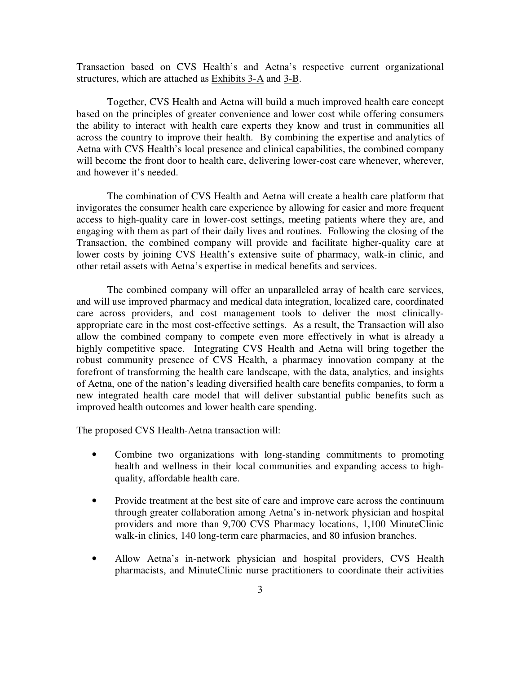Transaction based on CVS Health's and Aetna's respective current organizational structures, which are attached as Exhibits 3-A and 3-B.

 Together, CVS Health and Aetna will build a much improved health care concept based on the principles of greater convenience and lower cost while offering consumers the ability to interact with health care experts they know and trust in communities all across the country to improve their health. By combining the expertise and analytics of Aetna with CVS Health's local presence and clinical capabilities, the combined company will become the front door to health care, delivering lower-cost care whenever, wherever, and however it's needed.

 The combination of CVS Health and Aetna will create a health care platform that invigorates the consumer health care experience by allowing for easier and more frequent access to high-quality care in lower-cost settings, meeting patients where they are, and engaging with them as part of their daily lives and routines. Following the closing of the Transaction, the combined company will provide and facilitate higher-quality care at lower costs by joining CVS Health's extensive suite of pharmacy, walk-in clinic, and other retail assets with Aetna's expertise in medical benefits and services.

 The combined company will offer an unparalleled array of health care services, and will use improved pharmacy and medical data integration, localized care, coordinated care across providers, and cost management tools to deliver the most clinicallyappropriate care in the most cost-effective settings. As a result, the Transaction will also allow the combined company to compete even more effectively in what is already a highly competitive space. Integrating CVS Health and Aetna will bring together the robust community presence of CVS Health, a pharmacy innovation company at the forefront of transforming the health care landscape, with the data, analytics, and insights of Aetna, one of the nation's leading diversified health care benefits companies, to form a new integrated health care model that will deliver substantial public benefits such as improved health outcomes and lower health care spending.

The proposed CVS Health-Aetna transaction will:

- Combine two organizations with long-standing commitments to promoting health and wellness in their local communities and expanding access to highquality, affordable health care.
- Provide treatment at the best site of care and improve care across the continuum through greater collaboration among Aetna's in-network physician and hospital providers and more than 9,700 CVS Pharmacy locations, 1,100 MinuteClinic walk-in clinics, 140 long-term care pharmacies, and 80 infusion branches.
- Allow Aetna's in-network physician and hospital providers, CVS Health pharmacists, and MinuteClinic nurse practitioners to coordinate their activities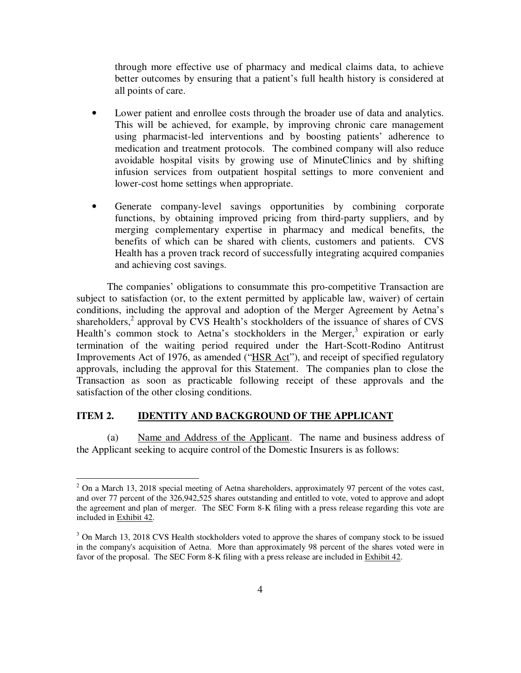through more effective use of pharmacy and medical claims data, to achieve better outcomes by ensuring that a patient's full health history is considered at all points of care.

- Lower patient and enrollee costs through the broader use of data and analytics. This will be achieved, for example, by improving chronic care management using pharmacist-led interventions and by boosting patients' adherence to medication and treatment protocols. The combined company will also reduce avoidable hospital visits by growing use of MinuteClinics and by shifting infusion services from outpatient hospital settings to more convenient and lower-cost home settings when appropriate.
- Generate company-level savings opportunities by combining corporate functions, by obtaining improved pricing from third-party suppliers, and by merging complementary expertise in pharmacy and medical benefits, the benefits of which can be shared with clients, customers and patients. CVS Health has a proven track record of successfully integrating acquired companies and achieving cost savings.

 The companies' obligations to consummate this pro-competitive Transaction are subject to satisfaction (or, to the extent permitted by applicable law, waiver) of certain conditions, including the approval and adoption of the Merger Agreement by Aetna's shareholders,<sup>2</sup> approval by CVS Health's stockholders of the issuance of shares of CVS Health's common stock to Aetna's stockholders in the Merger,<sup>3</sup> expiration or early termination of the waiting period required under the Hart-Scott-Rodino Antitrust Improvements Act of 1976, as amended ("HSR Act"), and receipt of specified regulatory approvals, including the approval for this Statement. The companies plan to close the Transaction as soon as practicable following receipt of these approvals and the satisfaction of the other closing conditions.

# **ITEM 2. IDENTITY AND BACKGROUND OF THE APPLICANT**

 $\overline{a}$ 

(a) Name and Address of the Applicant. The name and business address of the Applicant seeking to acquire control of the Domestic Insurers is as follows:

 $2$  On a March 13, 2018 special meeting of Aetna shareholders, approximately 97 percent of the votes cast, and over 77 percent of the 326,942,525 shares outstanding and entitled to vote, voted to approve and adopt the agreement and plan of merger. The SEC Form 8-K filing with a press release regarding this vote are included in Exhibit 42.

<sup>&</sup>lt;sup>3</sup> On March 13, 2018 CVS Health stockholders voted to approve the shares of company stock to be issued in the company's acquisition of Aetna. More than approximately 98 percent of the shares voted were in favor of the proposal. The SEC Form 8-K filing with a press release are included in Exhibit 42.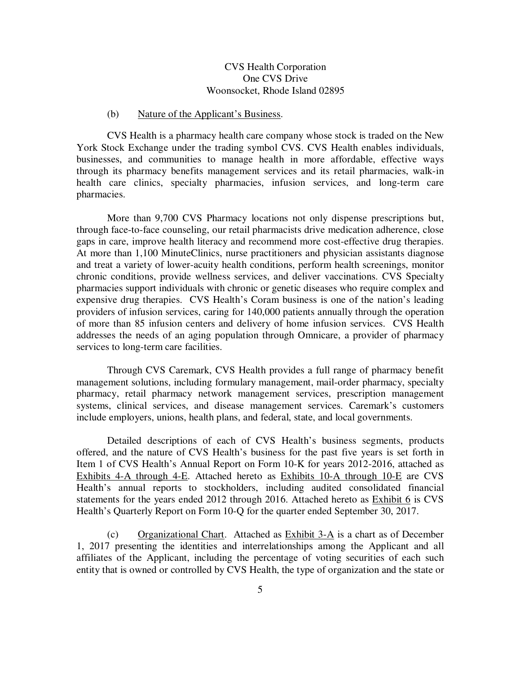## CVS Health Corporation One CVS Drive Woonsocket, Rhode Island 02895

### (b) Nature of the Applicant's Business.

 CVS Health is a pharmacy health care company whose stock is traded on the New York Stock Exchange under the trading symbol CVS. CVS Health enables individuals, businesses, and communities to manage health in more affordable, effective ways through its pharmacy benefits management services and its retail pharmacies, walk-in health care clinics, specialty pharmacies, infusion services, and long-term care pharmacies.

 More than 9,700 CVS Pharmacy locations not only dispense prescriptions but, through face-to-face counseling, our retail pharmacists drive medication adherence, close gaps in care, improve health literacy and recommend more cost-effective drug therapies. At more than 1,100 MinuteClinics, nurse practitioners and physician assistants diagnose and treat a variety of lower-acuity health conditions, perform health screenings, monitor chronic conditions, provide wellness services, and deliver vaccinations. CVS Specialty pharmacies support individuals with chronic or genetic diseases who require complex and expensive drug therapies. CVS Health's Coram business is one of the nation's leading providers of infusion services, caring for 140,000 patients annually through the operation of more than 85 infusion centers and delivery of home infusion services. CVS Health addresses the needs of an aging population through Omnicare, a provider of pharmacy services to long-term care facilities.

 Through CVS Caremark, CVS Health provides a full range of pharmacy benefit management solutions, including formulary management, mail-order pharmacy, specialty pharmacy, retail pharmacy network management services, prescription management systems, clinical services, and disease management services. Caremark's customers include employers, unions, health plans, and federal, state, and local governments.

 Detailed descriptions of each of CVS Health's business segments, products offered, and the nature of CVS Health's business for the past five years is set forth in Item 1 of CVS Health's Annual Report on Form 10-K for years 2012-2016, attached as Exhibits 4-A through 4-E. Attached hereto as Exhibits 10-A through 10-E are CVS Health's annual reports to stockholders, including audited consolidated financial statements for the years ended 2012 through 2016. Attached hereto as Exhibit 6 is CVS Health's Quarterly Report on Form 10-Q for the quarter ended September 30, 2017.

(c) Organizational Chart. Attached as Exhibit  $3-A$  is a chart as of December 1, 2017 presenting the identities and interrelationships among the Applicant and all affiliates of the Applicant, including the percentage of voting securities of each such entity that is owned or controlled by CVS Health, the type of organization and the state or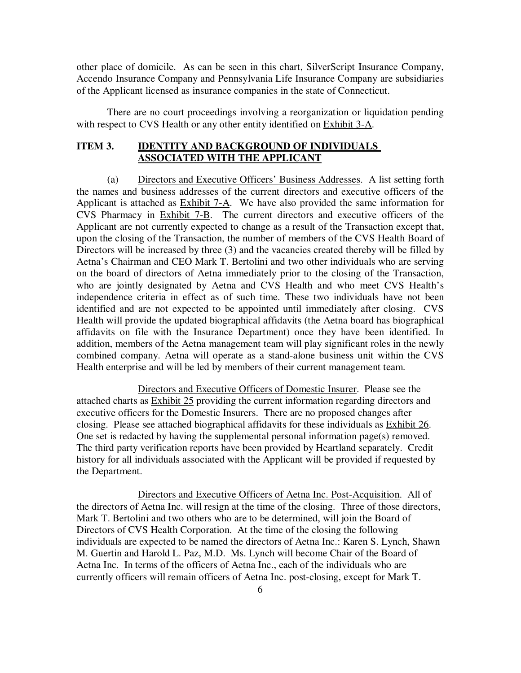other place of domicile. As can be seen in this chart, SilverScript Insurance Company, Accendo Insurance Company and Pennsylvania Life Insurance Company are subsidiaries of the Applicant licensed as insurance companies in the state of Connecticut.

There are no court proceedings involving a reorganization or liquidation pending with respect to CVS Health or any other entity identified on Exhibit 3-A.

## **ITEM 3. IDENTITY AND BACKGROUND OF INDIVIDUALS ASSOCIATED WITH THE APPLICANT**

(a) Directors and Executive Officers' Business Addresses. A list setting forth the names and business addresses of the current directors and executive officers of the Applicant is attached as Exhibit 7-A. We have also provided the same information for CVS Pharmacy in Exhibit 7-B. The current directors and executive officers of the Applicant are not currently expected to change as a result of the Transaction except that, upon the closing of the Transaction, the number of members of the CVS Health Board of Directors will be increased by three (3) and the vacancies created thereby will be filled by Aetna's Chairman and CEO Mark T. Bertolini and two other individuals who are serving on the board of directors of Aetna immediately prior to the closing of the Transaction, who are jointly designated by Aetna and CVS Health and who meet CVS Health's independence criteria in effect as of such time. These two individuals have not been identified and are not expected to be appointed until immediately after closing. CVS Health will provide the updated biographical affidavits (the Aetna board has biographical affidavits on file with the Insurance Department) once they have been identified. In addition, members of the Aetna management team will play significant roles in the newly combined company. Aetna will operate as a stand-alone business unit within the CVS Health enterprise and will be led by members of their current management team.

 Directors and Executive Officers of Domestic Insurer. Please see the attached charts as Exhibit 25 providing the current information regarding directors and executive officers for the Domestic Insurers. There are no proposed changes after closing. Please see attached biographical affidavits for these individuals as Exhibit 26. One set is redacted by having the supplemental personal information page(s) removed. The third party verification reports have been provided by Heartland separately. Credit history for all individuals associated with the Applicant will be provided if requested by the Department.

 Directors and Executive Officers of Aetna Inc. Post-Acquisition. All of the directors of Aetna Inc. will resign at the time of the closing. Three of those directors, Mark T. Bertolini and two others who are to be determined, will join the Board of Directors of CVS Health Corporation. At the time of the closing the following individuals are expected to be named the directors of Aetna Inc.: Karen S. Lynch, Shawn M. Guertin and Harold L. Paz, M.D. Ms. Lynch will become Chair of the Board of Aetna Inc. In terms of the officers of Aetna Inc., each of the individuals who are currently officers will remain officers of Aetna Inc. post-closing, except for Mark T.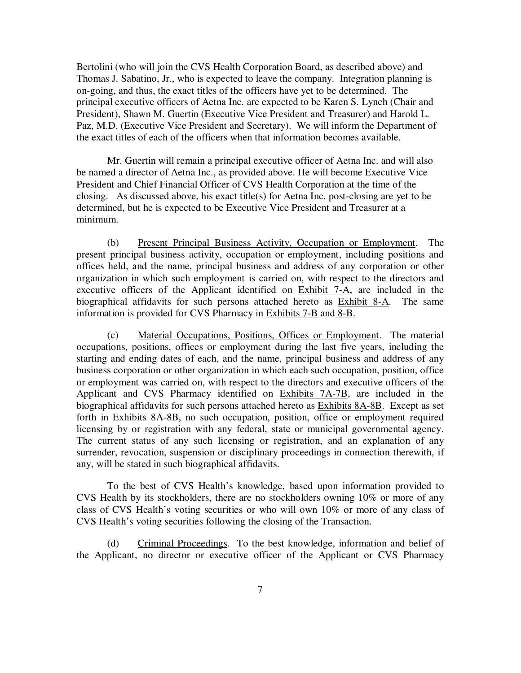Bertolini (who will join the CVS Health Corporation Board, as described above) and Thomas J. Sabatino, Jr., who is expected to leave the company. Integration planning is on-going, and thus, the exact titles of the officers have yet to be determined. The principal executive officers of Aetna Inc. are expected to be Karen S. Lynch (Chair and President), Shawn M. Guertin (Executive Vice President and Treasurer) and Harold L. Paz, M.D. (Executive Vice President and Secretary). We will inform the Department of the exact titles of each of the officers when that information becomes available.

 Mr. Guertin will remain a principal executive officer of Aetna Inc. and will also be named a director of Aetna Inc., as provided above. He will become Executive Vice President and Chief Financial Officer of CVS Health Corporation at the time of the closing. As discussed above, his exact title(s) for Aetna Inc. post-closing are yet to be determined, but he is expected to be Executive Vice President and Treasurer at a minimum.

(b) Present Principal Business Activity, Occupation or Employment. The present principal business activity, occupation or employment, including positions and offices held, and the name, principal business and address of any corporation or other organization in which such employment is carried on, with respect to the directors and executive officers of the Applicant identified on Exhibit 7-A, are included in the biographical affidavits for such persons attached hereto as Exhibit 8-A. The same information is provided for CVS Pharmacy in Exhibits 7-B and 8-B.

(c) Material Occupations, Positions, Offices or Employment. The material occupations, positions, offices or employment during the last five years, including the starting and ending dates of each, and the name, principal business and address of any business corporation or other organization in which each such occupation, position, office or employment was carried on, with respect to the directors and executive officers of the Applicant and CVS Pharmacy identified on Exhibits 7A-7B, are included in the biographical affidavits for such persons attached hereto as Exhibits 8A-8B. Except as set forth in Exhibits 8A-8B, no such occupation, position, office or employment required licensing by or registration with any federal, state or municipal governmental agency. The current status of any such licensing or registration, and an explanation of any surrender, revocation, suspension or disciplinary proceedings in connection therewith, if any, will be stated in such biographical affidavits.

To the best of CVS Health's knowledge, based upon information provided to CVS Health by its stockholders, there are no stockholders owning 10% or more of any class of CVS Health's voting securities or who will own 10% or more of any class of CVS Health's voting securities following the closing of the Transaction.

(d) Criminal Proceedings. To the best knowledge, information and belief of the Applicant, no director or executive officer of the Applicant or CVS Pharmacy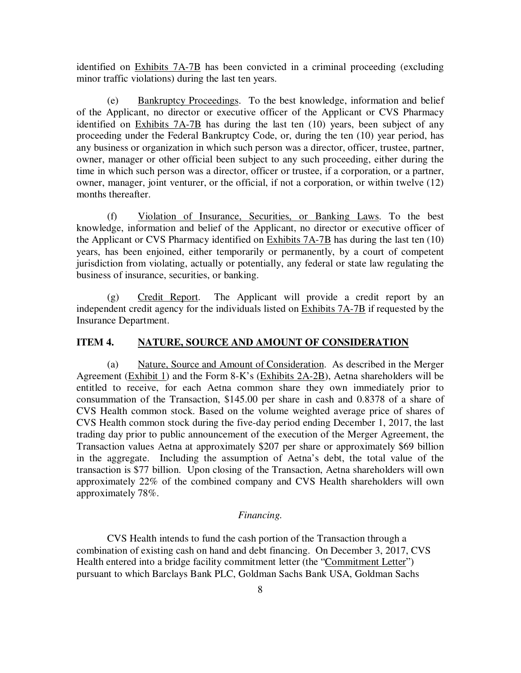identified on Exhibits 7A-7B has been convicted in a criminal proceeding (excluding minor traffic violations) during the last ten years.

(e) Bankruptcy Proceedings. To the best knowledge, information and belief of the Applicant, no director or executive officer of the Applicant or CVS Pharmacy identified on Exhibits 7A-7B has during the last ten (10) years, been subject of any proceeding under the Federal Bankruptcy Code, or, during the ten (10) year period, has any business or organization in which such person was a director, officer, trustee, partner, owner, manager or other official been subject to any such proceeding, either during the time in which such person was a director, officer or trustee, if a corporation, or a partner, owner, manager, joint venturer, or the official, if not a corporation, or within twelve (12) months thereafter.

(f) Violation of Insurance, Securities, or Banking Laws. To the best knowledge, information and belief of the Applicant, no director or executive officer of the Applicant or CVS Pharmacy identified on Exhibits 7A-7B has during the last ten (10) years, has been enjoined, either temporarily or permanently, by a court of competent jurisdiction from violating, actually or potentially, any federal or state law regulating the business of insurance, securities, or banking.

(g) Credit Report. The Applicant will provide a credit report by an independent credit agency for the individuals listed on Exhibits 7A-7B if requested by the Insurance Department.

### **ITEM 4. NATURE, SOURCE AND AMOUNT OF CONSIDERATION**

(a) Nature, Source and Amount of Consideration. As described in the Merger Agreement (Exhibit 1) and the Form 8-K's (Exhibits 2A-2B), Aetna shareholders will be entitled to receive, for each Aetna common share they own immediately prior to consummation of the Transaction, \$145.00 per share in cash and 0.8378 of a share of CVS Health common stock. Based on the volume weighted average price of shares of CVS Health common stock during the five-day period ending December 1, 2017, the last trading day prior to public announcement of the execution of the Merger Agreement, the Transaction values Aetna at approximately \$207 per share or approximately \$69 billion in the aggregate. Including the assumption of Aetna's debt, the total value of the transaction is \$77 billion. Upon closing of the Transaction, Aetna shareholders will own approximately 22% of the combined company and CVS Health shareholders will own approximately 78%.

#### *Financing.*

 CVS Health intends to fund the cash portion of the Transaction through a combination of existing cash on hand and debt financing. On December 3, 2017, CVS Health entered into a bridge facility commitment letter (the "Commitment Letter") pursuant to which Barclays Bank PLC, Goldman Sachs Bank USA, Goldman Sachs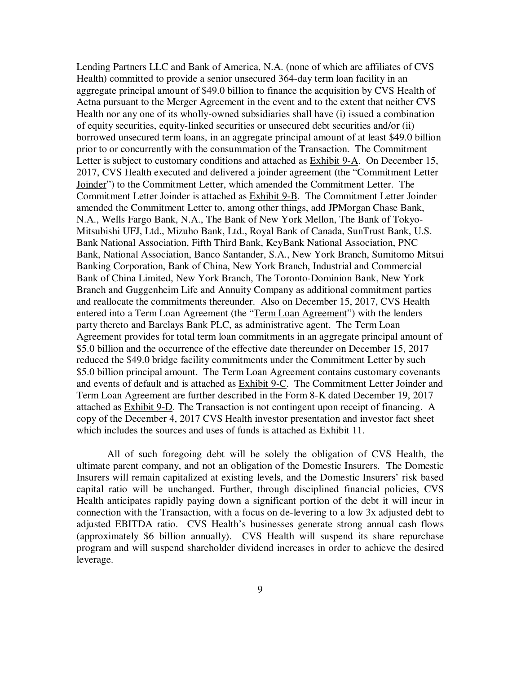Lending Partners LLC and Bank of America, N.A. (none of which are affiliates of CVS Health) committed to provide a senior unsecured 364-day term loan facility in an aggregate principal amount of \$49.0 billion to finance the acquisition by CVS Health of Aetna pursuant to the Merger Agreement in the event and to the extent that neither CVS Health nor any one of its wholly-owned subsidiaries shall have (i) issued a combination of equity securities, equity-linked securities or unsecured debt securities and/or (ii) borrowed unsecured term loans, in an aggregate principal amount of at least \$49.0 billion prior to or concurrently with the consummation of the Transaction. The Commitment Letter is subject to customary conditions and attached as Exhibit 9-A. On December 15, 2017, CVS Health executed and delivered a joinder agreement (the "Commitment Letter Joinder") to the Commitment Letter, which amended the Commitment Letter. The Commitment Letter Joinder is attached as Exhibit 9-B. The Commitment Letter Joinder amended the Commitment Letter to, among other things, add JPMorgan Chase Bank, N.A., Wells Fargo Bank, N.A., The Bank of New York Mellon, The Bank of Tokyo-Mitsubishi UFJ, Ltd., Mizuho Bank, Ltd., Royal Bank of Canada, SunTrust Bank, U.S. Bank National Association, Fifth Third Bank, KeyBank National Association, PNC Bank, National Association, Banco Santander, S.A., New York Branch, Sumitomo Mitsui Banking Corporation, Bank of China, New York Branch, Industrial and Commercial Bank of China Limited, New York Branch, The Toronto-Dominion Bank, New York Branch and Guggenheim Life and Annuity Company as additional commitment parties and reallocate the commitments thereunder. Also on December 15, 2017, CVS Health entered into a Term Loan Agreement (the "Term Loan Agreement") with the lenders party thereto and Barclays Bank PLC, as administrative agent. The Term Loan Agreement provides for total term loan commitments in an aggregate principal amount of \$5.0 billion and the occurrence of the effective date thereunder on December 15, 2017 reduced the \$49.0 bridge facility commitments under the Commitment Letter by such \$5.0 billion principal amount. The Term Loan Agreement contains customary covenants and events of default and is attached as Exhibit 9-C. The Commitment Letter Joinder and Term Loan Agreement are further described in the Form 8-K dated December 19, 2017 attached as Exhibit 9-D. The Transaction is not contingent upon receipt of financing. A copy of the December 4, 2017 CVS Health investor presentation and investor fact sheet which includes the sources and uses of funds is attached as Exhibit 11.

All of such foregoing debt will be solely the obligation of CVS Health, the ultimate parent company, and not an obligation of the Domestic Insurers. The Domestic Insurers will remain capitalized at existing levels, and the Domestic Insurers' risk based capital ratio will be unchanged. Further, through disciplined financial policies, CVS Health anticipates rapidly paying down a significant portion of the debt it will incur in connection with the Transaction, with a focus on de-levering to a low 3x adjusted debt to adjusted EBITDA ratio. CVS Health's businesses generate strong annual cash flows (approximately \$6 billion annually). CVS Health will suspend its share repurchase program and will suspend shareholder dividend increases in order to achieve the desired leverage.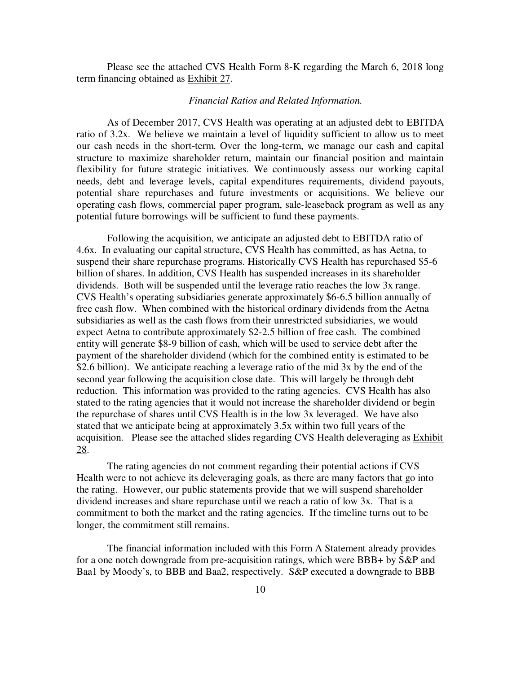Please see the attached CVS Health Form 8-K regarding the March 6, 2018 long term financing obtained as Exhibit 27.

### *Financial Ratios and Related Information.*

As of December 2017, CVS Health was operating at an adjusted debt to EBITDA ratio of 3.2x. We believe we maintain a level of liquidity sufficient to allow us to meet our cash needs in the short-term. Over the long-term, we manage our cash and capital structure to maximize shareholder return, maintain our financial position and maintain flexibility for future strategic initiatives. We continuously assess our working capital needs, debt and leverage levels, capital expenditures requirements, dividend payouts, potential share repurchases and future investments or acquisitions. We believe our operating cash flows, commercial paper program, sale-leaseback program as well as any potential future borrowings will be sufficient to fund these payments.

 Following the acquisition, we anticipate an adjusted debt to EBITDA ratio of 4.6x. In evaluating our capital structure, CVS Health has committed, as has Aetna, to suspend their share repurchase programs. Historically CVS Health has repurchased \$5-6 billion of shares. In addition, CVS Health has suspended increases in its shareholder dividends. Both will be suspended until the leverage ratio reaches the low 3x range. CVS Health's operating subsidiaries generate approximately \$6-6.5 billion annually of free cash flow. When combined with the historical ordinary dividends from the Aetna subsidiaries as well as the cash flows from their unrestricted subsidiaries, we would expect Aetna to contribute approximately \$2-2.5 billion of free cash. The combined entity will generate \$8-9 billion of cash, which will be used to service debt after the payment of the shareholder dividend (which for the combined entity is estimated to be \$2.6 billion). We anticipate reaching a leverage ratio of the mid 3x by the end of the second year following the acquisition close date. This will largely be through debt reduction. This information was provided to the rating agencies. CVS Health has also stated to the rating agencies that it would not increase the shareholder dividend or begin the repurchase of shares until CVS Health is in the low 3x leveraged. We have also stated that we anticipate being at approximately 3.5x within two full years of the acquisition. Please see the attached slides regarding CVS Health deleveraging as **Exhibit** 28.

 The rating agencies do not comment regarding their potential actions if CVS Health were to not achieve its deleveraging goals, as there are many factors that go into the rating. However, our public statements provide that we will suspend shareholder dividend increases and share repurchase until we reach a ratio of low 3x. That is a commitment to both the market and the rating agencies. If the timeline turns out to be longer, the commitment still remains.

 The financial information included with this Form A Statement already provides for a one notch downgrade from pre-acquisition ratings, which were BBB+ by S&P and Baa1 by Moody's, to BBB and Baa2, respectively. S&P executed a downgrade to BBB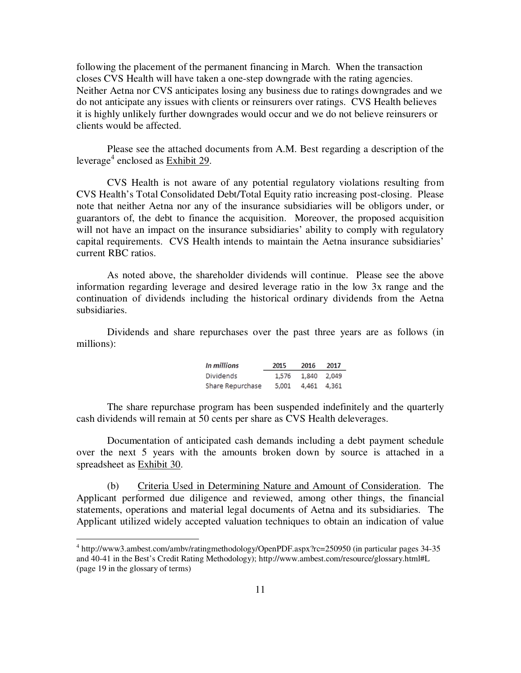following the placement of the permanent financing in March. When the transaction closes CVS Health will have taken a one-step downgrade with the rating agencies. Neither Aetna nor CVS anticipates losing any business due to ratings downgrades and we do not anticipate any issues with clients or reinsurers over ratings. CVS Health believes it is highly unlikely further downgrades would occur and we do not believe reinsurers or clients would be affected.

Please see the attached documents from A.M. Best regarding a description of the leverage<sup>4</sup> enclosed as <u>Exhibit 29</u>.

CVS Health is not aware of any potential regulatory violations resulting from CVS Health's Total Consolidated Debt/Total Equity ratio increasing post-closing. Please note that neither Aetna nor any of the insurance subsidiaries will be obligors under, or guarantors of, the debt to finance the acquisition. Moreover, the proposed acquisition will not have an impact on the insurance subsidiaries' ability to comply with regulatory capital requirements. CVS Health intends to maintain the Aetna insurance subsidiaries' current RBC ratios.

As noted above, the shareholder dividends will continue. Please see the above information regarding leverage and desired leverage ratio in the low 3x range and the continuation of dividends including the historical ordinary dividends from the Aetna subsidiaries.

Dividends and share repurchases over the past three years are as follows (in millions):

| In millions      | 2015  | 2016        | 2017 |
|------------------|-------|-------------|------|
| <b>Dividends</b> | 1,576 | 1,840 2,049 |      |
| Share Repurchase | 5,001 | 4,461 4,361 |      |

The share repurchase program has been suspended indefinitely and the quarterly cash dividends will remain at 50 cents per share as CVS Health deleverages.

Documentation of anticipated cash demands including a debt payment schedule over the next 5 years with the amounts broken down by source is attached in a spreadsheet as Exhibit 30.

(b) Criteria Used in Determining Nature and Amount of Consideration. The Applicant performed due diligence and reviewed, among other things, the financial statements, operations and material legal documents of Aetna and its subsidiaries. The Applicant utilized widely accepted valuation techniques to obtain an indication of value

 4 http://www3.ambest.com/ambv/ratingmethodology/OpenPDF.aspx?rc=250950 (in particular pages 34-35 and 40-41 in the Best's Credit Rating Methodology); http://www.ambest.com/resource/glossary.html#L (page 19 in the glossary of terms)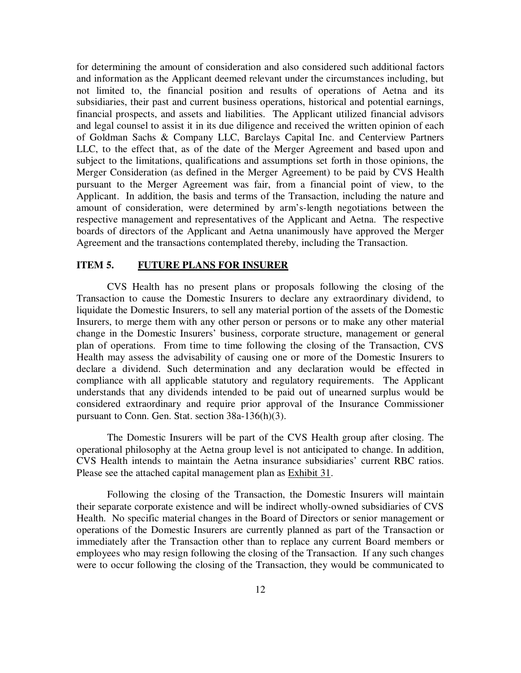for determining the amount of consideration and also considered such additional factors and information as the Applicant deemed relevant under the circumstances including, but not limited to, the financial position and results of operations of Aetna and its subsidiaries, their past and current business operations, historical and potential earnings, financial prospects, and assets and liabilities. The Applicant utilized financial advisors and legal counsel to assist it in its due diligence and received the written opinion of each of Goldman Sachs & Company LLC, Barclays Capital Inc. and Centerview Partners LLC, to the effect that, as of the date of the Merger Agreement and based upon and subject to the limitations, qualifications and assumptions set forth in those opinions, the Merger Consideration (as defined in the Merger Agreement) to be paid by CVS Health pursuant to the Merger Agreement was fair, from a financial point of view, to the Applicant. In addition, the basis and terms of the Transaction, including the nature and amount of consideration, were determined by arm's-length negotiations between the respective management and representatives of the Applicant and Aetna. The respective boards of directors of the Applicant and Aetna unanimously have approved the Merger Agreement and the transactions contemplated thereby, including the Transaction.

### **ITEM 5. FUTURE PLANS FOR INSURER**

CVS Health has no present plans or proposals following the closing of the Transaction to cause the Domestic Insurers to declare any extraordinary dividend, to liquidate the Domestic Insurers, to sell any material portion of the assets of the Domestic Insurers, to merge them with any other person or persons or to make any other material change in the Domestic Insurers' business, corporate structure, management or general plan of operations. From time to time following the closing of the Transaction, CVS Health may assess the advisability of causing one or more of the Domestic Insurers to declare a dividend. Such determination and any declaration would be effected in compliance with all applicable statutory and regulatory requirements. The Applicant understands that any dividends intended to be paid out of unearned surplus would be considered extraordinary and require prior approval of the Insurance Commissioner pursuant to Conn. Gen. Stat. section 38a-136(h)(3).

The Domestic Insurers will be part of the CVS Health group after closing. The operational philosophy at the Aetna group level is not anticipated to change. In addition, CVS Health intends to maintain the Aetna insurance subsidiaries' current RBC ratios. Please see the attached capital management plan as Exhibit 31.

Following the closing of the Transaction, the Domestic Insurers will maintain their separate corporate existence and will be indirect wholly-owned subsidiaries of CVS Health. No specific material changes in the Board of Directors or senior management or operations of the Domestic Insurers are currently planned as part of the Transaction or immediately after the Transaction other than to replace any current Board members or employees who may resign following the closing of the Transaction. If any such changes were to occur following the closing of the Transaction, they would be communicated to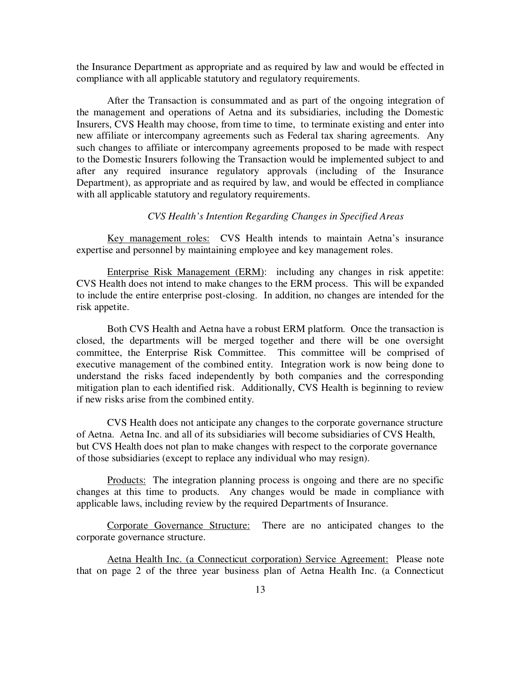the Insurance Department as appropriate and as required by law and would be effected in compliance with all applicable statutory and regulatory requirements.

After the Transaction is consummated and as part of the ongoing integration of the management and operations of Aetna and its subsidiaries, including the Domestic Insurers, CVS Health may choose, from time to time, to terminate existing and enter into new affiliate or intercompany agreements such as Federal tax sharing agreements. Any such changes to affiliate or intercompany agreements proposed to be made with respect to the Domestic Insurers following the Transaction would be implemented subject to and after any required insurance regulatory approvals (including of the Insurance Department), as appropriate and as required by law, and would be effected in compliance with all applicable statutory and regulatory requirements.

### *CVS Health's Intention Regarding Changes in Specified Areas*

Key management roles: CVS Health intends to maintain Aetna's insurance expertise and personnel by maintaining employee and key management roles.

Enterprise Risk Management (ERM): including any changes in risk appetite: CVS Health does not intend to make changes to the ERM process. This will be expanded to include the entire enterprise post-closing. In addition, no changes are intended for the risk appetite.

 Both CVS Health and Aetna have a robust ERM platform. Once the transaction is closed, the departments will be merged together and there will be one oversight committee, the Enterprise Risk Committee. This committee will be comprised of executive management of the combined entity. Integration work is now being done to understand the risks faced independently by both companies and the corresponding mitigation plan to each identified risk. Additionally, CVS Health is beginning to review if new risks arise from the combined entity.

 CVS Health does not anticipate any changes to the corporate governance structure of Aetna. Aetna Inc. and all of its subsidiaries will become subsidiaries of CVS Health, but CVS Health does not plan to make changes with respect to the corporate governance of those subsidiaries (except to replace any individual who may resign).

Products: The integration planning process is ongoing and there are no specific changes at this time to products. Any changes would be made in compliance with applicable laws, including review by the required Departments of Insurance.

Corporate Governance Structure: There are no anticipated changes to the corporate governance structure.

Aetna Health Inc. (a Connecticut corporation) Service Agreement: Please note that on page 2 of the three year business plan of Aetna Health Inc. (a Connecticut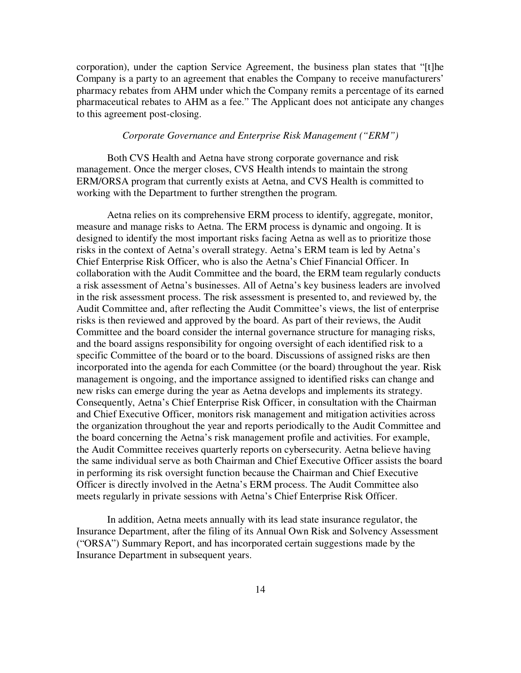corporation), under the caption Service Agreement, the business plan states that "[t]he Company is a party to an agreement that enables the Company to receive manufacturers' pharmacy rebates from AHM under which the Company remits a percentage of its earned pharmaceutical rebates to AHM as a fee." The Applicant does not anticipate any changes to this agreement post-closing.

#### *Corporate Governance and Enterprise Risk Management ("ERM")*

 Both CVS Health and Aetna have strong corporate governance and risk management. Once the merger closes, CVS Health intends to maintain the strong ERM/ORSA program that currently exists at Aetna, and CVS Health is committed to working with the Department to further strengthen the program.

 Aetna relies on its comprehensive ERM process to identify, aggregate, monitor, measure and manage risks to Aetna. The ERM process is dynamic and ongoing. It is designed to identify the most important risks facing Aetna as well as to prioritize those risks in the context of Aetna's overall strategy. Aetna's ERM team is led by Aetna's Chief Enterprise Risk Officer, who is also the Aetna's Chief Financial Officer. In collaboration with the Audit Committee and the board, the ERM team regularly conducts a risk assessment of Aetna's businesses. All of Aetna's key business leaders are involved in the risk assessment process. The risk assessment is presented to, and reviewed by, the Audit Committee and, after reflecting the Audit Committee's views, the list of enterprise risks is then reviewed and approved by the board. As part of their reviews, the Audit Committee and the board consider the internal governance structure for managing risks, and the board assigns responsibility for ongoing oversight of each identified risk to a specific Committee of the board or to the board. Discussions of assigned risks are then incorporated into the agenda for each Committee (or the board) throughout the year. Risk management is ongoing, and the importance assigned to identified risks can change and new risks can emerge during the year as Aetna develops and implements its strategy. Consequently, Aetna's Chief Enterprise Risk Officer, in consultation with the Chairman and Chief Executive Officer, monitors risk management and mitigation activities across the organization throughout the year and reports periodically to the Audit Committee and the board concerning the Aetna's risk management profile and activities. For example, the Audit Committee receives quarterly reports on cybersecurity. Aetna believe having the same individual serve as both Chairman and Chief Executive Officer assists the board in performing its risk oversight function because the Chairman and Chief Executive Officer is directly involved in the Aetna's ERM process. The Audit Committee also meets regularly in private sessions with Aetna's Chief Enterprise Risk Officer.

 In addition, Aetna meets annually with its lead state insurance regulator, the Insurance Department, after the filing of its Annual Own Risk and Solvency Assessment ("ORSA") Summary Report, and has incorporated certain suggestions made by the Insurance Department in subsequent years.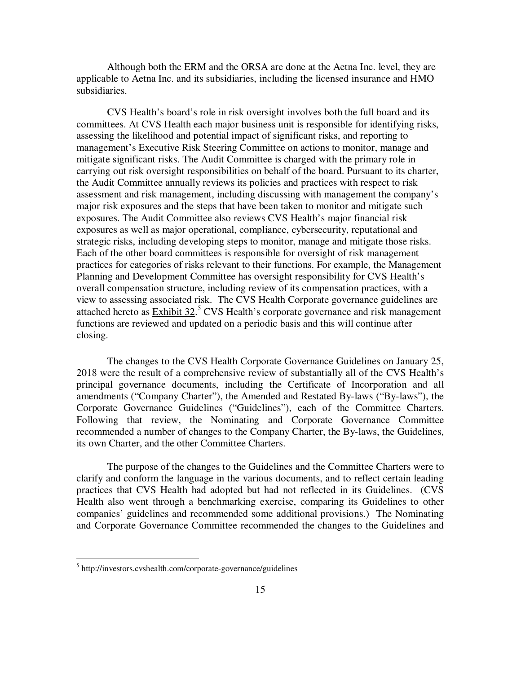Although both the ERM and the ORSA are done at the Aetna Inc. level, they are applicable to Aetna Inc. and its subsidiaries, including the licensed insurance and HMO subsidiaries.

 CVS Health's board's role in risk oversight involves both the full board and its committees. At CVS Health each major business unit is responsible for identifying risks, assessing the likelihood and potential impact of significant risks, and reporting to management's Executive Risk Steering Committee on actions to monitor, manage and mitigate significant risks. The Audit Committee is charged with the primary role in carrying out risk oversight responsibilities on behalf of the board. Pursuant to its charter, the Audit Committee annually reviews its policies and practices with respect to risk assessment and risk management, including discussing with management the company's major risk exposures and the steps that have been taken to monitor and mitigate such exposures. The Audit Committee also reviews CVS Health's major financial risk exposures as well as major operational, compliance, cybersecurity, reputational and strategic risks, including developing steps to monitor, manage and mitigate those risks. Each of the other board committees is responsible for oversight of risk management practices for categories of risks relevant to their functions. For example, the Management Planning and Development Committee has oversight responsibility for CVS Health's overall compensation structure, including review of its compensation practices, with a view to assessing associated risk. The CVS Health Corporate governance guidelines are attached hereto as  $Exhibit 32<sup>5</sup>$  CVS Health's corporate governance and risk management</u> functions are reviewed and updated on a periodic basis and this will continue after closing.

 The changes to the CVS Health Corporate Governance Guidelines on January 25, 2018 were the result of a comprehensive review of substantially all of the CVS Health's principal governance documents, including the Certificate of Incorporation and all amendments ("Company Charter"), the Amended and Restated By-laws ("By-laws"), the Corporate Governance Guidelines ("Guidelines"), each of the Committee Charters. Following that review, the Nominating and Corporate Governance Committee recommended a number of changes to the Company Charter, the By-laws, the Guidelines, its own Charter, and the other Committee Charters.

 The purpose of the changes to the Guidelines and the Committee Charters were to clarify and conform the language in the various documents, and to reflect certain leading practices that CVS Health had adopted but had not reflected in its Guidelines. (CVS Health also went through a benchmarking exercise, comparing its Guidelines to other companies' guidelines and recommended some additional provisions.) The Nominating and Corporate Governance Committee recommended the changes to the Guidelines and

<sup>5</sup> http://investors.cvshealth.com/corporate-governance/guidelines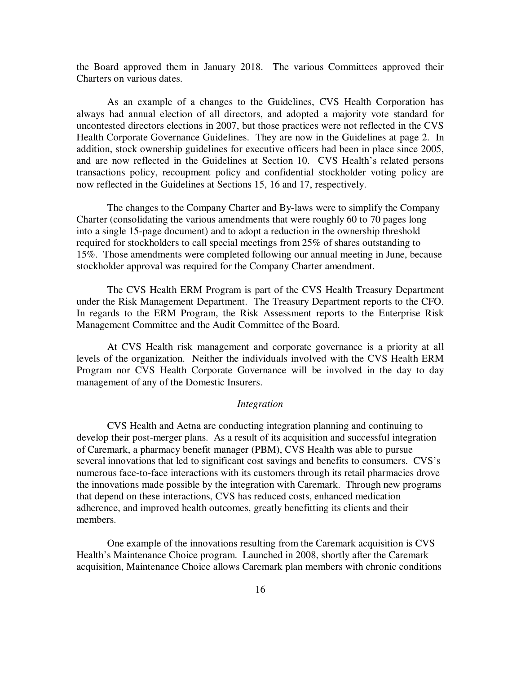the Board approved them in January 2018. The various Committees approved their Charters on various dates.

 As an example of a changes to the Guidelines, CVS Health Corporation has always had annual election of all directors, and adopted a majority vote standard for uncontested directors elections in 2007, but those practices were not reflected in the CVS Health Corporate Governance Guidelines. They are now in the Guidelines at page 2. In addition, stock ownership guidelines for executive officers had been in place since 2005, and are now reflected in the Guidelines at Section 10. CVS Health's related persons transactions policy, recoupment policy and confidential stockholder voting policy are now reflected in the Guidelines at Sections 15, 16 and 17, respectively.

 The changes to the Company Charter and By-laws were to simplify the Company Charter (consolidating the various amendments that were roughly 60 to 70 pages long into a single 15-page document) and to adopt a reduction in the ownership threshold required for stockholders to call special meetings from 25% of shares outstanding to 15%. Those amendments were completed following our annual meeting in June, because stockholder approval was required for the Company Charter amendment.

The CVS Health ERM Program is part of the CVS Health Treasury Department under the Risk Management Department. The Treasury Department reports to the CFO. In regards to the ERM Program, the Risk Assessment reports to the Enterprise Risk Management Committee and the Audit Committee of the Board.

At CVS Health risk management and corporate governance is a priority at all levels of the organization. Neither the individuals involved with the CVS Health ERM Program nor CVS Health Corporate Governance will be involved in the day to day management of any of the Domestic Insurers.

#### *Integration*

 CVS Health and Aetna are conducting integration planning and continuing to develop their post-merger plans. As a result of its acquisition and successful integration of Caremark, a pharmacy benefit manager (PBM), CVS Health was able to pursue several innovations that led to significant cost savings and benefits to consumers. CVS's numerous face-to-face interactions with its customers through its retail pharmacies drove the innovations made possible by the integration with Caremark. Through new programs that depend on these interactions, CVS has reduced costs, enhanced medication adherence, and improved health outcomes, greatly benefitting its clients and their members.

 One example of the innovations resulting from the Caremark acquisition is CVS Health's Maintenance Choice program. Launched in 2008, shortly after the Caremark acquisition, Maintenance Choice allows Caremark plan members with chronic conditions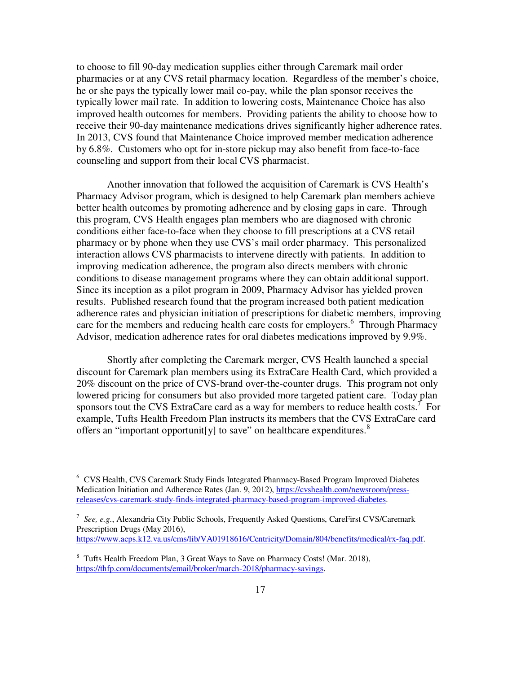to choose to fill 90-day medication supplies either through Caremark mail order pharmacies or at any CVS retail pharmacy location. Regardless of the member's choice, he or she pays the typically lower mail co-pay, while the plan sponsor receives the typically lower mail rate. In addition to lowering costs, Maintenance Choice has also improved health outcomes for members. Providing patients the ability to choose how to receive their 90-day maintenance medications drives significantly higher adherence rates. In 2013, CVS found that Maintenance Choice improved member medication adherence by 6.8%. Customers who opt for in-store pickup may also benefit from face-to-face counseling and support from their local CVS pharmacist.

 Another innovation that followed the acquisition of Caremark is CVS Health's Pharmacy Advisor program, which is designed to help Caremark plan members achieve better health outcomes by promoting adherence and by closing gaps in care. Through this program, CVS Health engages plan members who are diagnosed with chronic conditions either face-to-face when they choose to fill prescriptions at a CVS retail pharmacy or by phone when they use CVS's mail order pharmacy. This personalized interaction allows CVS pharmacists to intervene directly with patients. In addition to improving medication adherence, the program also directs members with chronic conditions to disease management programs where they can obtain additional support. Since its inception as a pilot program in 2009, Pharmacy Advisor has yielded proven results. Published research found that the program increased both patient medication adherence rates and physician initiation of prescriptions for diabetic members, improving care for the members and reducing health care costs for employers.<sup>6</sup> Through Pharmacy Advisor, medication adherence rates for oral diabetes medications improved by 9.9%.

 Shortly after completing the Caremark merger, CVS Health launched a special discount for Caremark plan members using its ExtraCare Health Card, which provided a 20% discount on the price of CVS-brand over-the-counter drugs. This program not only lowered pricing for consumers but also provided more targeted patient care. Today plan sponsors tout the CVS ExtraCare card as a way for members to reduce health costs.<sup>7</sup> For example, Tufts Health Freedom Plan instructs its members that the CVS ExtraCare card offers an "important opportunit[y] to save" on healthcare expenditures. $8$ 

 6 CVS Health, CVS Caremark Study Finds Integrated Pharmacy-Based Program Improved Diabetes Medication Initiation and Adherence Rates (Jan. 9, 2012), https://cvshealth.com/newsroom/pressreleases/cvs-caremark-study-finds-integrated-pharmacy-based-program-improved-diabetes.

<sup>7</sup> *See, e.g.*, Alexandria City Public Schools, Frequently Asked Questions, CareFirst CVS/Caremark Prescription Drugs (May 2016), https://www.acps.k12.va.us/cms/lib/VA01918616/Centricity/Domain/804/benefits/medical/rx-faq.pdf.

<sup>&</sup>lt;sup>8</sup> Tufts Health Freedom Plan, 3 Great Ways to Save on Pharmacy Costs! (Mar. 2018), https://thfp.com/documents/email/broker/march-2018/pharmacy-savings.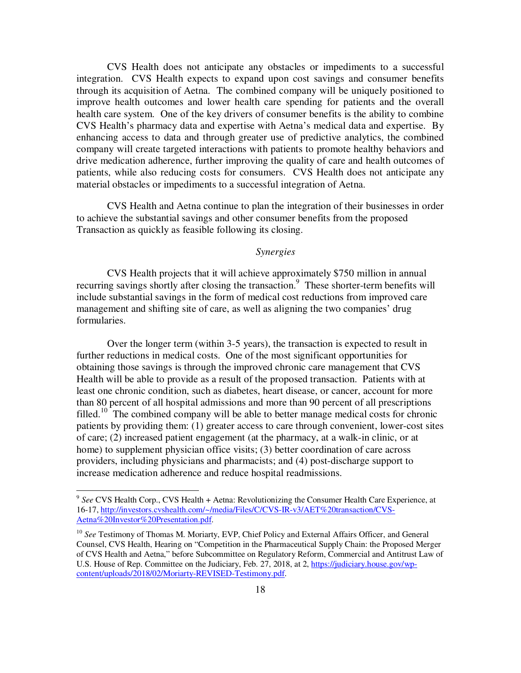CVS Health does not anticipate any obstacles or impediments to a successful integration. CVS Health expects to expand upon cost savings and consumer benefits through its acquisition of Aetna. The combined company will be uniquely positioned to improve health outcomes and lower health care spending for patients and the overall health care system. One of the key drivers of consumer benefits is the ability to combine CVS Health's pharmacy data and expertise with Aetna's medical data and expertise. By enhancing access to data and through greater use of predictive analytics, the combined company will create targeted interactions with patients to promote healthy behaviors and drive medication adherence, further improving the quality of care and health outcomes of patients, while also reducing costs for consumers. CVS Health does not anticipate any material obstacles or impediments to a successful integration of Aetna.

CVS Health and Aetna continue to plan the integration of their businesses in order to achieve the substantial savings and other consumer benefits from the proposed Transaction as quickly as feasible following its closing.

### *Synergies*

 CVS Health projects that it will achieve approximately \$750 million in annual recurring savings shortly after closing the transaction.<sup>9</sup> These shorter-term benefits will include substantial savings in the form of medical cost reductions from improved care management and shifting site of care, as well as aligning the two companies' drug formularies.

 Over the longer term (within 3-5 years), the transaction is expected to result in further reductions in medical costs. One of the most significant opportunities for obtaining those savings is through the improved chronic care management that CVS Health will be able to provide as a result of the proposed transaction. Patients with at least one chronic condition, such as diabetes, heart disease, or cancer, account for more than 80 percent of all hospital admissions and more than 90 percent of all prescriptions filled.<sup>10</sup> The combined company will be able to better manage medical costs for chronic patients by providing them: (1) greater access to care through convenient, lower-cost sites of care; (2) increased patient engagement (at the pharmacy, at a walk-in clinic, or at home) to supplement physician office visits; (3) better coordination of care across providers, including physicians and pharmacists; and (4) post-discharge support to increase medication adherence and reduce hospital readmissions.

<sup>&</sup>lt;sup>9</sup> See CVS Health Corp., CVS Health + Aetna: Revolutionizing the Consumer Health Care Experience, at 16-17, http://investors.cvshealth.com/~/media/Files/C/CVS-IR-v3/AET%20transaction/CVS-Aetna%20Investor%20Presentation.pdf.

<sup>&</sup>lt;sup>10</sup> See Testimony of Thomas M. Moriarty, EVP, Chief Policy and External Affairs Officer, and General Counsel, CVS Health, Hearing on "Competition in the Pharmaceutical Supply Chain: the Proposed Merger of CVS Health and Aetna," before Subcommittee on Regulatory Reform, Commercial and Antitrust Law of U.S. House of Rep. Committee on the Judiciary, Feb. 27, 2018, at 2, https://judiciary.house.gov/wpcontent/uploads/2018/02/Moriarty-REVISED-Testimony.pdf.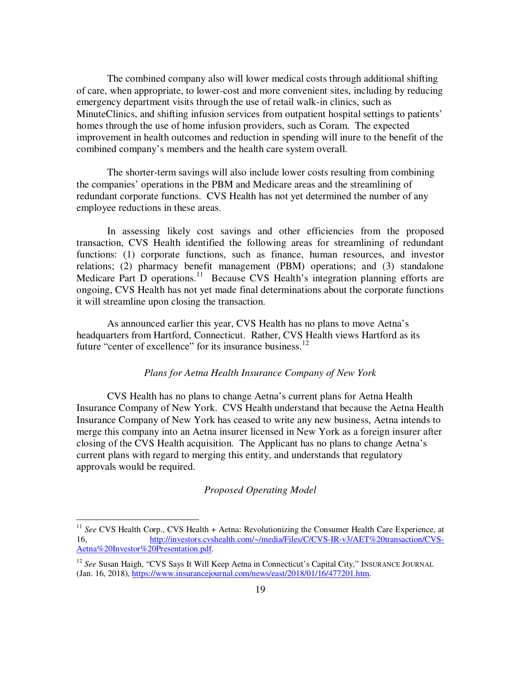The combined company also will lower medical costs through additional shifting of care, when appropriate, to lower-cost and more convenient sites, including by reducing emergency department visits through the use of retail walk-in clinics, such as MinuteClinics, and shifting infusion services from outpatient hospital settings to patients' homes through the use of home infusion providers, such as Coram. The expected improvement in health outcomes and reduction in spending will inure to the benefit of the combined company's members and the health care system overall.

 The shorter-term savings will also include lower costs resulting from combining the companies' operations in the PBM and Medicare areas and the streamlining of redundant corporate functions. CVS Health has not yet determined the number of any employee reductions in these areas.

 In assessing likely cost savings and other efficiencies from the proposed transaction, CVS Health identified the following areas for streamlining of redundant functions: (1) corporate functions, such as finance, human resources, and investor relations; (2) pharmacy benefit management (PBM) operations; and (3) standalone Medicare Part D operations.<sup>11</sup> Because CVS Health's integration planning efforts are ongoing, CVS Health has not yet made final determinations about the corporate functions it will streamline upon closing the transaction.

As announced earlier this year, CVS Health has no plans to move Aetna's headquarters from Hartford, Connecticut. Rather, CVS Health views Hartford as its future "center of excellence" for its insurance business.<sup>12</sup>

### *Plans for Aetna Health Insurance Company of New York*

 CVS Health has no plans to change Aetna's current plans for Aetna Health Insurance Company of New York. CVS Health understand that because the Aetna Health Insurance Company of New York has ceased to write any new business, Aetna intends to merge this company into an Aetna insurer licensed in New York as a foreign insurer after closing of the CVS Health acquisition. The Applicant has no plans to change Aetna's current plans with regard to merging this entity, and understands that regulatory approvals would be required.

### *Proposed Operating Model*

<sup>&</sup>lt;sup>11</sup> See CVS Health Corp., CVS Health + Aetna: Revolutionizing the Consumer Health Care Experience, at 16, http://investors.cvshealth.com/~/media/Files/C/CVS-IR-v3/AET%20transaction/CVS-Aetna%20Investor%20Presentation.pdf.

<sup>&</sup>lt;sup>12</sup> See Susan Haigh, "CVS Says It Will Keep Aetna in Connecticut's Capital City," INSURANCE JOURNAL (Jan. 16, 2018), https://www.insurancejournal.com/news/east/2018/01/16/477201.htm.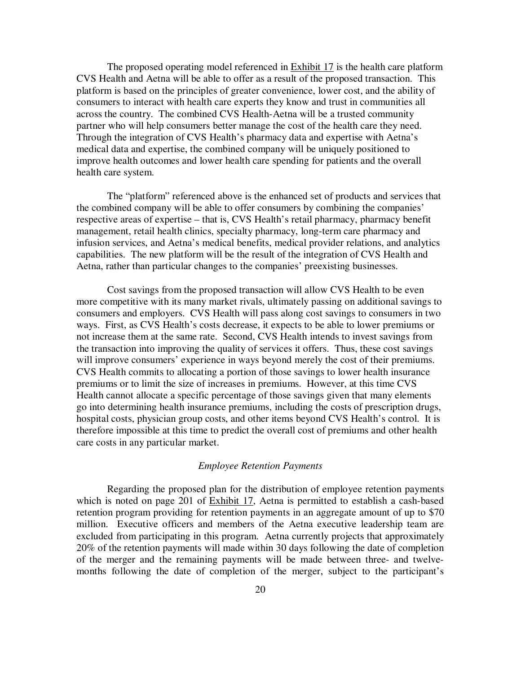The proposed operating model referenced in Exhibit 17 is the health care platform CVS Health and Aetna will be able to offer as a result of the proposed transaction. This platform is based on the principles of greater convenience, lower cost, and the ability of consumers to interact with health care experts they know and trust in communities all across the country. The combined CVS Health-Aetna will be a trusted community partner who will help consumers better manage the cost of the health care they need. Through the integration of CVS Health's pharmacy data and expertise with Aetna's medical data and expertise, the combined company will be uniquely positioned to improve health outcomes and lower health care spending for patients and the overall health care system.

 The "platform" referenced above is the enhanced set of products and services that the combined company will be able to offer consumers by combining the companies' respective areas of expertise – that is, CVS Health's retail pharmacy, pharmacy benefit management, retail health clinics, specialty pharmacy, long-term care pharmacy and infusion services, and Aetna's medical benefits, medical provider relations, and analytics capabilities. The new platform will be the result of the integration of CVS Health and Aetna, rather than particular changes to the companies' preexisting businesses.

 Cost savings from the proposed transaction will allow CVS Health to be even more competitive with its many market rivals, ultimately passing on additional savings to consumers and employers. CVS Health will pass along cost savings to consumers in two ways. First, as CVS Health's costs decrease, it expects to be able to lower premiums or not increase them at the same rate. Second, CVS Health intends to invest savings from the transaction into improving the quality of services it offers. Thus, these cost savings will improve consumers' experience in ways beyond merely the cost of their premiums. CVS Health commits to allocating a portion of those savings to lower health insurance premiums or to limit the size of increases in premiums. However, at this time CVS Health cannot allocate a specific percentage of those savings given that many elements go into determining health insurance premiums, including the costs of prescription drugs, hospital costs, physician group costs, and other items beyond CVS Health's control. It is therefore impossible at this time to predict the overall cost of premiums and other health care costs in any particular market.

### *Employee Retention Payments*

Regarding the proposed plan for the distribution of employee retention payments which is noted on page 201 of Exhibit 17, Aetna is permitted to establish a cash-based retention program providing for retention payments in an aggregate amount of up to \$70 million. Executive officers and members of the Aetna executive leadership team are excluded from participating in this program. Aetna currently projects that approximately 20% of the retention payments will made within 30 days following the date of completion of the merger and the remaining payments will be made between three- and twelvemonths following the date of completion of the merger, subject to the participant's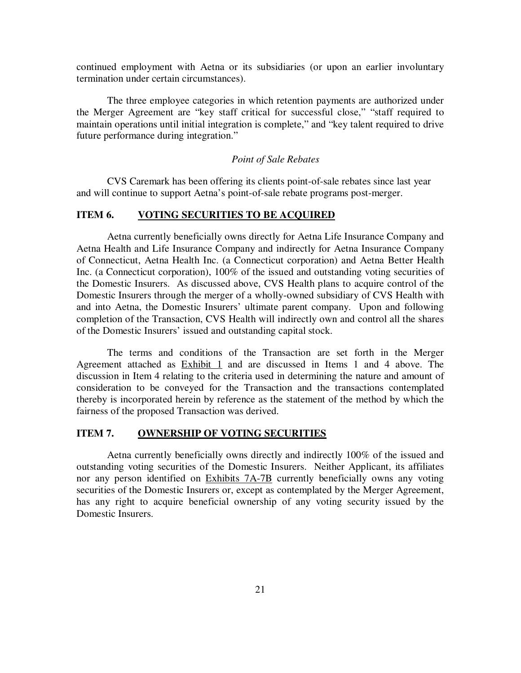continued employment with Aetna or its subsidiaries (or upon an earlier involuntary termination under certain circumstances).

 The three employee categories in which retention payments are authorized under the Merger Agreement are "key staff critical for successful close," "staff required to maintain operations until initial integration is complete," and "key talent required to drive future performance during integration."

### *Point of Sale Rebates*

CVS Caremark has been offering its clients point-of-sale rebates since last year and will continue to support Aetna's point-of-sale rebate programs post-merger.

## **ITEM 6. VOTING SECURITIES TO BE ACQUIRED**

Aetna currently beneficially owns directly for Aetna Life Insurance Company and Aetna Health and Life Insurance Company and indirectly for Aetna Insurance Company of Connecticut, Aetna Health Inc. (a Connecticut corporation) and Aetna Better Health Inc. (a Connecticut corporation), 100% of the issued and outstanding voting securities of the Domestic Insurers. As discussed above, CVS Health plans to acquire control of the Domestic Insurers through the merger of a wholly-owned subsidiary of CVS Health with and into Aetna, the Domestic Insurers' ultimate parent company. Upon and following completion of the Transaction, CVS Health will indirectly own and control all the shares of the Domestic Insurers' issued and outstanding capital stock.

The terms and conditions of the Transaction are set forth in the Merger Agreement attached as Exhibit 1 and are discussed in Items 1 and 4 above. The discussion in Item 4 relating to the criteria used in determining the nature and amount of consideration to be conveyed for the Transaction and the transactions contemplated thereby is incorporated herein by reference as the statement of the method by which the fairness of the proposed Transaction was derived.

### **ITEM 7. OWNERSHIP OF VOTING SECURITIES**

Aetna currently beneficially owns directly and indirectly 100% of the issued and outstanding voting securities of the Domestic Insurers. Neither Applicant, its affiliates nor any person identified on Exhibits 7A-7B currently beneficially owns any voting securities of the Domestic Insurers or, except as contemplated by the Merger Agreement, has any right to acquire beneficial ownership of any voting security issued by the Domestic Insurers.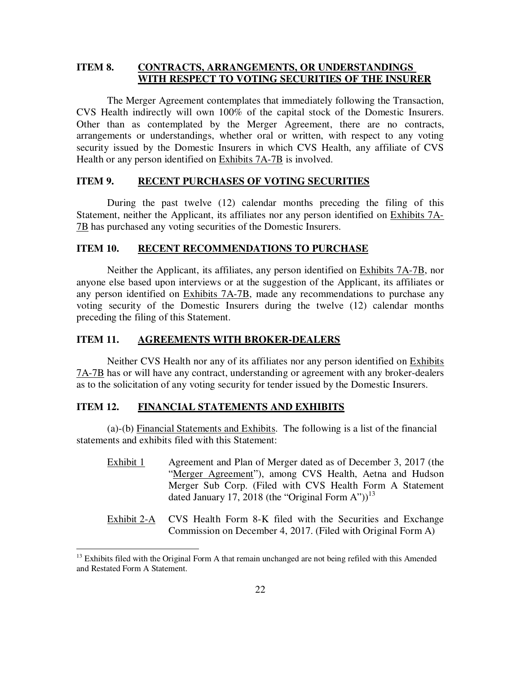## **ITEM 8. CONTRACTS, ARRANGEMENTS, OR UNDERSTANDINGS WITH RESPECT TO VOTING SECURITIES OF THE INSURER**

The Merger Agreement contemplates that immediately following the Transaction, CVS Health indirectly will own 100% of the capital stock of the Domestic Insurers. Other than as contemplated by the Merger Agreement, there are no contracts, arrangements or understandings, whether oral or written, with respect to any voting security issued by the Domestic Insurers in which CVS Health, any affiliate of CVS Health or any person identified on Exhibits 7A-7B is involved.

#### **ITEM 9. RECENT PURCHASES OF VOTING SECURITIES**

During the past twelve (12) calendar months preceding the filing of this Statement, neither the Applicant, its affiliates nor any person identified on Exhibits 7A-7B has purchased any voting securities of the Domestic Insurers.

### **ITEM 10. RECENT RECOMMENDATIONS TO PURCHASE**

Neither the Applicant, its affiliates, any person identified on Exhibits 7A-7B, nor anyone else based upon interviews or at the suggestion of the Applicant, its affiliates or any person identified on Exhibits 7A-7B, made any recommendations to purchase any voting security of the Domestic Insurers during the twelve (12) calendar months preceding the filing of this Statement.

#### **ITEM 11. AGREEMENTS WITH BROKER-DEALERS**

Neither CVS Health nor any of its affiliates nor any person identified on Exhibits 7A-7B has or will have any contract, understanding or agreement with any broker-dealers as to the solicitation of any voting security for tender issued by the Domestic Insurers.

## **ITEM 12. FINANCIAL STATEMENTS AND EXHIBITS**

 $\overline{a}$ 

(a)-(b) Financial Statements and Exhibits. The following is a list of the financial statements and exhibits filed with this Statement:

- Exhibit 1 Agreement and Plan of Merger dated as of December 3, 2017 (the "Merger Agreement"), among CVS Health, Aetna and Hudson Merger Sub Corp. (Filed with CVS Health Form A Statement dated January 17, 2018 (the "Original Form A"))<sup>13</sup>
- Exhibit 2-A CVS Health Form 8-K filed with the Securities and Exchange Commission on December 4, 2017. (Filed with Original Form A)

<sup>&</sup>lt;sup>13</sup> Exhibits filed with the Original Form A that remain unchanged are not being refiled with this Amended and Restated Form A Statement.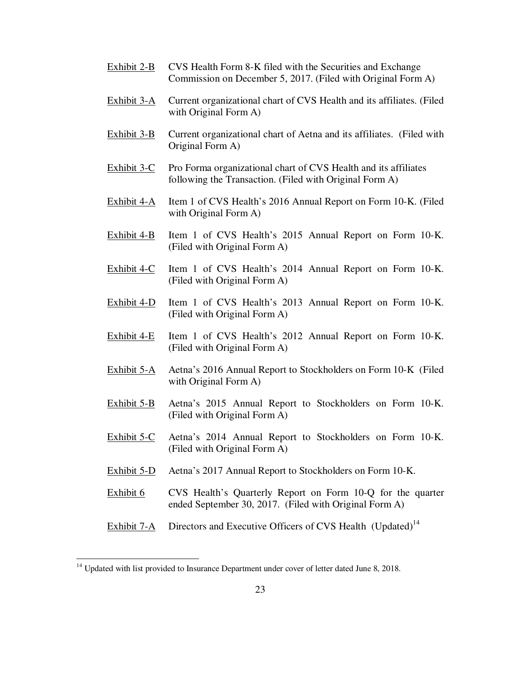- Exhibit 2-B CVS Health Form 8-K filed with the Securities and Exchange Commission on December 5, 2017. (Filed with Original Form A)
- Exhibit 3-A Current organizational chart of CVS Health and its affiliates. (Filed with Original Form A)
- Exhibit 3-B Current organizational chart of Aetna and its affiliates. (Filed with Original Form A)
- Exhibit 3-C Pro Forma organizational chart of CVS Health and its affiliates following the Transaction. (Filed with Original Form A)
- Exhibit 4-A Item 1 of CVS Health's 2016 Annual Report on Form 10-K. (Filed with Original Form A)
- Exhibit 4-B Item 1 of CVS Health's 2015 Annual Report on Form 10-K. (Filed with Original Form A)
- Exhibit 4-C Item 1 of CVS Health's 2014 Annual Report on Form 10-K. (Filed with Original Form A)
- Exhibit 4-D Item 1 of CVS Health's 2013 Annual Report on Form 10-K. (Filed with Original Form A)
- Exhibit 4-E Item 1 of CVS Health's 2012 Annual Report on Form 10-K. (Filed with Original Form A)
- Exhibit 5-A Aetna's 2016 Annual Report to Stockholders on Form 10-K (Filed with Original Form A)
- Exhibit 5-B Aetna's 2015 Annual Report to Stockholders on Form 10-K. (Filed with Original Form A)
- Exhibit 5-C Aetna's 2014 Annual Report to Stockholders on Form 10-K. (Filed with Original Form A)
- Exhibit 5-D Aetna's 2017 Annual Report to Stockholders on Form 10-K.
- Exhibit 6 CVS Health's Quarterly Report on Form 10-Q for the quarter ended September 30, 2017. (Filed with Original Form A)
- Exhibit 7-A Directors and Executive Officers of CVS Health (Updated)<sup>14</sup>

<sup>&</sup>lt;sup>14</sup> Updated with list provided to Insurance Department under cover of letter dated June 8, 2018.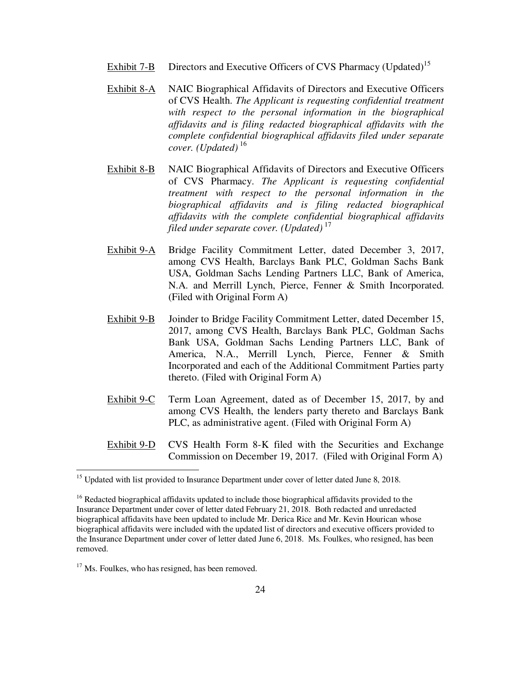- Exhibit 7-B Directors and Executive Officers of CVS Pharmacy (Updated)<sup>15</sup>
- Exhibit 8-A NAIC Biographical Affidavits of Directors and Executive Officers of CVS Health. *The Applicant is requesting confidential treatment with respect to the personal information in the biographical affidavits and is filing redacted biographical affidavits with the complete confidential biographical affidavits filed under separate cover. (Updated)*<sup>16</sup>
- Exhibit 8-B NAIC Biographical Affidavits of Directors and Executive Officers of CVS Pharmacy. *The Applicant is requesting confidential treatment with respect to the personal information in the biographical affidavits and is filing redacted biographical affidavits with the complete confidential biographical affidavits filed under separate cover. (Updated)*<sup>17</sup>
- Exhibit 9-A Bridge Facility Commitment Letter, dated December 3, 2017, among CVS Health, Barclays Bank PLC, Goldman Sachs Bank USA, Goldman Sachs Lending Partners LLC, Bank of America, N.A. and Merrill Lynch, Pierce, Fenner & Smith Incorporated. (Filed with Original Form A)
- Exhibit 9-B Joinder to Bridge Facility Commitment Letter, dated December 15, 2017, among CVS Health, Barclays Bank PLC, Goldman Sachs Bank USA, Goldman Sachs Lending Partners LLC, Bank of America, N.A., Merrill Lynch, Pierce, Fenner & Smith Incorporated and each of the Additional Commitment Parties party thereto. (Filed with Original Form A)
- Exhibit 9-C Term Loan Agreement, dated as of December 15, 2017, by and among CVS Health, the lenders party thereto and Barclays Bank PLC, as administrative agent. (Filed with Original Form A)
- Exhibit 9-D CVS Health Form 8-K filed with the Securities and Exchange Commission on December 19, 2017. (Filed with Original Form A)

<sup>17</sup> Ms. Foulkes, who has resigned, has been removed.

<sup>&</sup>lt;sup>15</sup> Updated with list provided to Insurance Department under cover of letter dated June 8, 2018.

<sup>&</sup>lt;sup>16</sup> Redacted biographical affidavits updated to include those biographical affidavits provided to the Insurance Department under cover of letter dated February 21, 2018. Both redacted and unredacted biographical affidavits have been updated to include Mr. Derica Rice and Mr. Kevin Hourican whose biographical affidavits were included with the updated list of directors and executive officers provided to the Insurance Department under cover of letter dated June 6, 2018. Ms. Foulkes, who resigned, has been removed.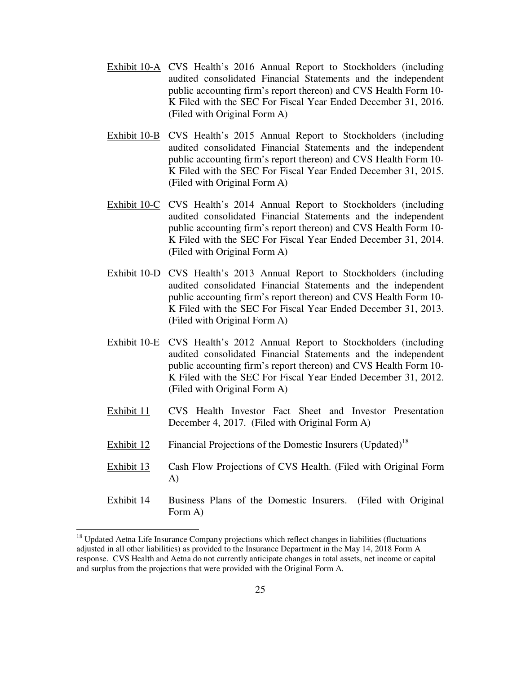- Exhibit 10-A CVS Health's 2016 Annual Report to Stockholders (including audited consolidated Financial Statements and the independent public accounting firm's report thereon) and CVS Health Form 10- K Filed with the SEC For Fiscal Year Ended December 31, 2016. (Filed with Original Form A)
- Exhibit 10-B CVS Health's 2015 Annual Report to Stockholders (including audited consolidated Financial Statements and the independent public accounting firm's report thereon) and CVS Health Form 10- K Filed with the SEC For Fiscal Year Ended December 31, 2015. (Filed with Original Form A)
- Exhibit 10-C CVS Health's 2014 Annual Report to Stockholders (including audited consolidated Financial Statements and the independent public accounting firm's report thereon) and CVS Health Form 10- K Filed with the SEC For Fiscal Year Ended December 31, 2014. (Filed with Original Form A)
- Exhibit 10-D CVS Health's 2013 Annual Report to Stockholders (including audited consolidated Financial Statements and the independent public accounting firm's report thereon) and CVS Health Form 10- K Filed with the SEC For Fiscal Year Ended December 31, 2013. (Filed with Original Form A)
- Exhibit 10-E CVS Health's 2012 Annual Report to Stockholders (including audited consolidated Financial Statements and the independent public accounting firm's report thereon) and CVS Health Form 10- K Filed with the SEC For Fiscal Year Ended December 31, 2012. (Filed with Original Form A)
- Exhibit 11 CVS Health Investor Fact Sheet and Investor Presentation December 4, 2017. (Filed with Original Form A)
- **Exhibit 12** Financial Projections of the Domestic Insurers (Updated)<sup>18</sup>
- Exhibit 13 Cash Flow Projections of CVS Health. (Filed with Original Form A)
- Exhibit 14 Business Plans of the Domestic Insurers. (Filed with Original Form A)

<sup>&</sup>lt;sup>18</sup> Updated Aetna Life Insurance Company projections which reflect changes in liabilities (fluctuations adjusted in all other liabilities) as provided to the Insurance Department in the May 14, 2018 Form A response. CVS Health and Aetna do not currently anticipate changes in total assets, net income or capital and surplus from the projections that were provided with the Original Form A.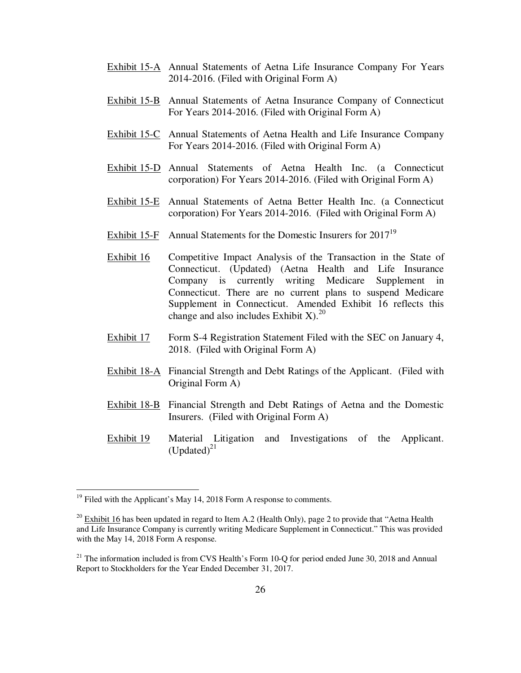- Exhibit 15-A Annual Statements of Aetna Life Insurance Company For Years 2014-2016. (Filed with Original Form A)
- Exhibit 15-B Annual Statements of Aetna Insurance Company of Connecticut For Years 2014-2016. (Filed with Original Form A)
- Exhibit 15-C Annual Statements of Aetna Health and Life Insurance Company For Years 2014-2016. (Filed with Original Form A)
- Exhibit 15-D Annual Statements of Aetna Health Inc. (a Connecticut corporation) For Years 2014-2016. (Filed with Original Form A)
- Exhibit 15-E Annual Statements of Aetna Better Health Inc. (a Connecticut corporation) For Years 2014-2016. (Filed with Original Form A)
- Exhibit 15-F Annual Statements for the Domestic Insurers for 2017<sup>19</sup>
- Exhibit 16 Competitive Impact Analysis of the Transaction in the State of Connecticut. (Updated) (Aetna Health and Life Insurance Company is currently writing Medicare Supplement in Connecticut. There are no current plans to suspend Medicare Supplement in Connecticut. Amended Exhibit 16 reflects this change and also includes Exhibit X).<sup>20</sup>
- Exhibit 17 Form S-4 Registration Statement Filed with the SEC on January 4, 2018. (Filed with Original Form A)
- Exhibit 18-A Financial Strength and Debt Ratings of the Applicant. (Filed with Original Form A)
- Exhibit 18-B Financial Strength and Debt Ratings of Aetna and the Domestic Insurers. (Filed with Original Form A)
- Exhibit 19 Material Litigation and Investigations of the Applicant. (Updated) $^{21}$

<u>.</u>

 $19$  Filed with the Applicant's May 14, 2018 Form A response to comments.

 $^{20}$  Exhibit 16 has been updated in regard to Item A.2 (Health Only), page 2 to provide that "Aetna Health" and Life Insurance Company is currently writing Medicare Supplement in Connecticut." This was provided with the May 14, 2018 Form A response.

 $21$  The information included is from CVS Health's Form 10-Q for period ended June 30, 2018 and Annual Report to Stockholders for the Year Ended December 31, 2017.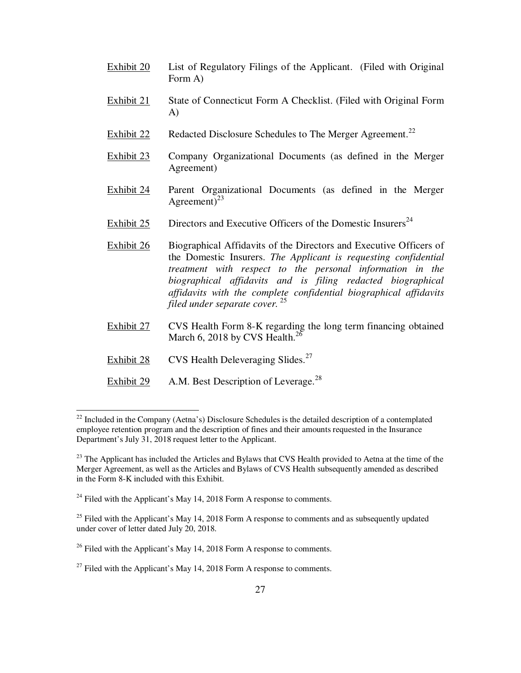- Exhibit 20 List of Regulatory Filings of the Applicant. (Filed with Original Form A)
- Exhibit 21 State of Connecticut Form A Checklist. (Filed with Original Form A)
- Exhibit 22 Redacted Disclosure Schedules to The Merger Agreement.<sup>22</sup>
- Exhibit 23 Company Organizational Documents (as defined in the Merger Agreement)
- Exhibit 24 Parent Organizational Documents (as defined in the Merger Agreement)<sup>23</sup>
- Exhibit  $25$  Directors and Executive Officers of the Domestic Insurers<sup>24</sup>
- Exhibit 26 Biographical Affidavits of the Directors and Executive Officers of the Domestic Insurers. *The Applicant is requesting confidential treatment with respect to the personal information in the biographical affidavits and is filing redacted biographical affidavits with the complete confidential biographical affidavits filed under separate cover.*<sup>25</sup>
- Exhibit 27 CVS Health Form 8-K regarding the long term financing obtained March 6, 2018 by CVS Health. $^{26}$
- Exhibit  $28$  CVS Health Deleveraging Slides.<sup>27</sup>

 $\overline{a}$ 

Exhibit 29 A.M. Best Description of Leverage. $^{28}$ 

 $22$  Included in the Company (Aetna's) Disclosure Schedules is the detailed description of a contemplated employee retention program and the description of fines and their amounts requested in the Insurance Department's July 31, 2018 request letter to the Applicant.

 $^{23}$  The Applicant has included the Articles and Bylaws that CVS Health provided to Aetna at the time of the Merger Agreement, as well as the Articles and Bylaws of CVS Health subsequently amended as described in the Form 8-K included with this Exhibit.

 $^{24}$  Filed with the Applicant's May 14, 2018 Form A response to comments.

 $25$  Filed with the Applicant's May 14, 2018 Form A response to comments and as subsequently updated under cover of letter dated July 20, 2018.

 $^{26}$  Filed with the Applicant's May 14, 2018 Form A response to comments.

 $^{27}$  Filed with the Applicant's May 14, 2018 Form A response to comments.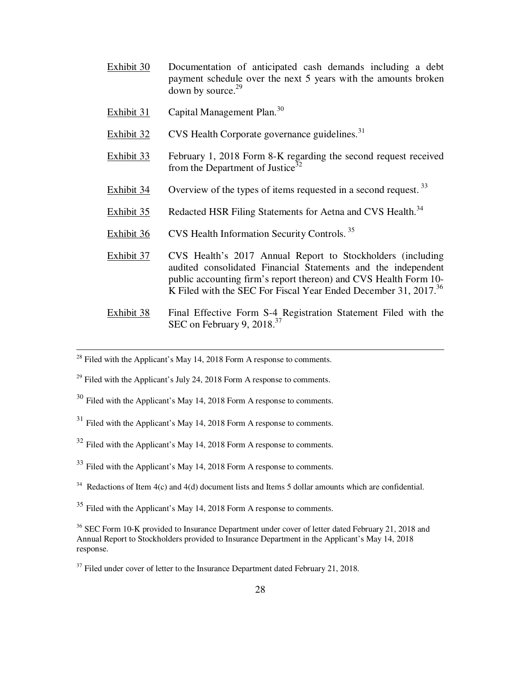- Exhibit 30 Documentation of anticipated cash demands including a debt payment schedule over the next 5 years with the amounts broken down by source.<sup>29</sup>
- Exhibit 31 Capital Management Plan.<sup>30</sup>
- Exhibit  $32$  CVS Health Corporate governance guidelines.<sup>31</sup>
- Exhibit 33 February 1, 2018 Form 8-K regarding the second request received from the Department of Justice<sup>32</sup>
- Exhibit 34 Overview of the types of items requested in a second request.  $33$
- Exhibit 35 Redacted HSR Filing Statements for Aetna and CVS Health.<sup>34</sup>
- Exhibit 36 CVS Health Information Security Controls.<sup>35</sup>
- Exhibit 37 CVS Health's 2017 Annual Report to Stockholders (including audited consolidated Financial Statements and the independent public accounting firm's report thereon) and CVS Health Form 10- K Filed with the SEC For Fiscal Year Ended December 31, 2017.<sup>36</sup>
- Exhibit 38 Final Effective Form S-4 Registration Statement Filed with the SEC on February 9,  $2018^{37}$
- $2^8$  Filed with the Applicant's May 14, 2018 Form A response to comments.

- $^{29}$  Filed with the Applicant's July 24, 2018 Form A response to comments.
- <sup>30</sup> Filed with the Applicant's May 14, 2018 Form A response to comments.
- $31$  Filed with the Applicant's May 14, 2018 Form A response to comments.
- $32$  Filed with the Applicant's May 14, 2018 Form A response to comments.
- <sup>33</sup> Filed with the Applicant's May 14, 2018 Form A response to comments.
- $34$  Redactions of Item 4(c) and 4(d) document lists and Items 5 dollar amounts which are confidential.
- <sup>35</sup> Filed with the Applicant's May 14, 2018 Form A response to comments.

<sup>&</sup>lt;sup>36</sup> SEC Form 10-K provided to Insurance Department under cover of letter dated February 21, 2018 and Annual Report to Stockholders provided to Insurance Department in the Applicant's May 14, 2018 response.

 $37$  Filed under cover of letter to the Insurance Department dated February 21, 2018.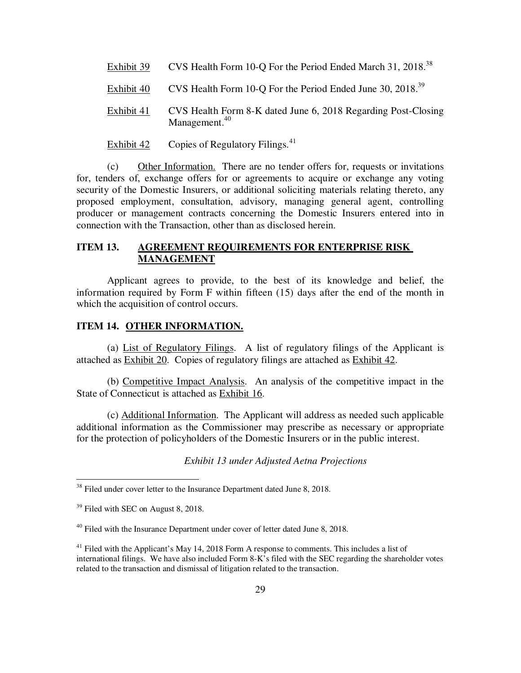- Exhibit 39 CVS Health Form 10-O For the Period Ended March 31, 2018.<sup>38</sup>
- Exhibit 40 CVS Health Form 10-Q For the Period Ended June 30, 2018.<sup>39</sup>
- Exhibit 41 CVS Health Form 8-K dated June 6, 2018 Regarding Post-Closing Management.<sup>40</sup>
- Exhibit 42 Copies of Regulatory Filings. $41$

(c) Other Information. There are no tender offers for, requests or invitations for, tenders of, exchange offers for or agreements to acquire or exchange any voting security of the Domestic Insurers, or additional soliciting materials relating thereto, any proposed employment, consultation, advisory, managing general agent, controlling producer or management contracts concerning the Domestic Insurers entered into in connection with the Transaction, other than as disclosed herein.

# **ITEM 13. AGREEMENT REQUIREMENTS FOR ENTERPRISE RISK MANAGEMENT**

Applicant agrees to provide, to the best of its knowledge and belief, the information required by Form F within fifteen (15) days after the end of the month in which the acquisition of control occurs.

## **ITEM 14. OTHER INFORMATION.**

(a) List of Regulatory Filings. A list of regulatory filings of the Applicant is attached as Exhibit 20. Copies of regulatory filings are attached as Exhibit 42.

(b) Competitive Impact Analysis. An analysis of the competitive impact in the State of Connecticut is attached as Exhibit 16.

(c) Additional Information. The Applicant will address as needed such applicable additional information as the Commissioner may prescribe as necessary or appropriate for the protection of policyholders of the Domestic Insurers or in the public interest.

*Exhibit 13 under Adjusted Aetna Projections* 

 $38$  Filed under cover letter to the Insurance Department dated June 8, 2018.

<sup>&</sup>lt;sup>39</sup> Filed with SEC on August 8, 2018.

 $40$  Filed with the Insurance Department under cover of letter dated June 8, 2018.

 $41$  Filed with the Applicant's May 14, 2018 Form A response to comments. This includes a list of international filings. We have also included Form 8-K's filed with the SEC regarding the shareholder votes related to the transaction and dismissal of litigation related to the transaction.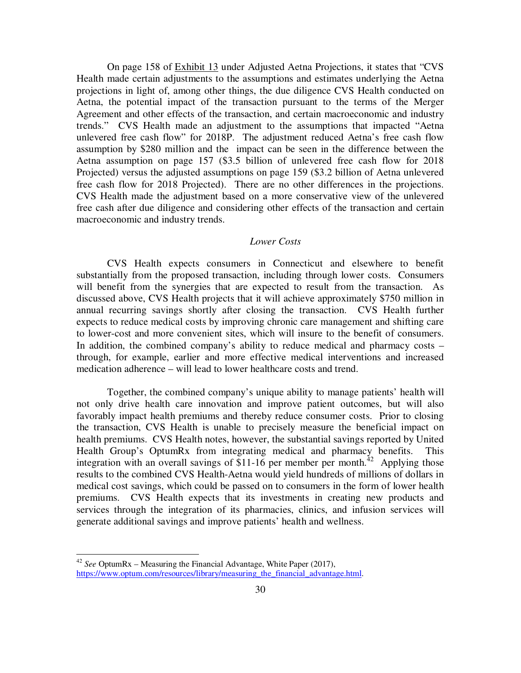On page 158 of Exhibit 13 under Adjusted Aetna Projections, it states that "CVS Health made certain adjustments to the assumptions and estimates underlying the Aetna projections in light of, among other things, the due diligence CVS Health conducted on Aetna, the potential impact of the transaction pursuant to the terms of the Merger Agreement and other effects of the transaction, and certain macroeconomic and industry trends." CVS Health made an adjustment to the assumptions that impacted "Aetna unlevered free cash flow" for 2018P. The adjustment reduced Aetna's free cash flow assumption by \$280 million and the impact can be seen in the difference between the Aetna assumption on page 157 (\$3.5 billion of unlevered free cash flow for 2018 Projected) versus the adjusted assumptions on page 159 (\$3.2 billion of Aetna unlevered free cash flow for 2018 Projected). There are no other differences in the projections. CVS Health made the adjustment based on a more conservative view of the unlevered free cash after due diligence and considering other effects of the transaction and certain macroeconomic and industry trends.

### *Lower Costs*

CVS Health expects consumers in Connecticut and elsewhere to benefit substantially from the proposed transaction, including through lower costs. Consumers will benefit from the synergies that are expected to result from the transaction. As discussed above, CVS Health projects that it will achieve approximately \$750 million in annual recurring savings shortly after closing the transaction. CVS Health further expects to reduce medical costs by improving chronic care management and shifting care to lower-cost and more convenient sites, which will insure to the benefit of consumers. In addition, the combined company's ability to reduce medical and pharmacy costs – through, for example, earlier and more effective medical interventions and increased medication adherence – will lead to lower healthcare costs and trend.

 Together, the combined company's unique ability to manage patients' health will not only drive health care innovation and improve patient outcomes, but will also favorably impact health premiums and thereby reduce consumer costs. Prior to closing the transaction, CVS Health is unable to precisely measure the beneficial impact on health premiums. CVS Health notes, however, the substantial savings reported by United Health Group's OptumRx from integrating medical and pharmacy benefits. This integration with an overall savings of  $\frac{811-16}{6}$  per member per month.<sup>42</sup> Applying those results to the combined CVS Health-Aetna would yield hundreds of millions of dollars in medical cost savings, which could be passed on to consumers in the form of lower health premiums. CVS Health expects that its investments in creating new products and services through the integration of its pharmacies, clinics, and infusion services will generate additional savings and improve patients' health and wellness.

<sup>42</sup> *See* OptumRx – Measuring the Financial Advantage, White Paper (2017), https://www.optum.com/resources/library/measuring the financial advantage.html.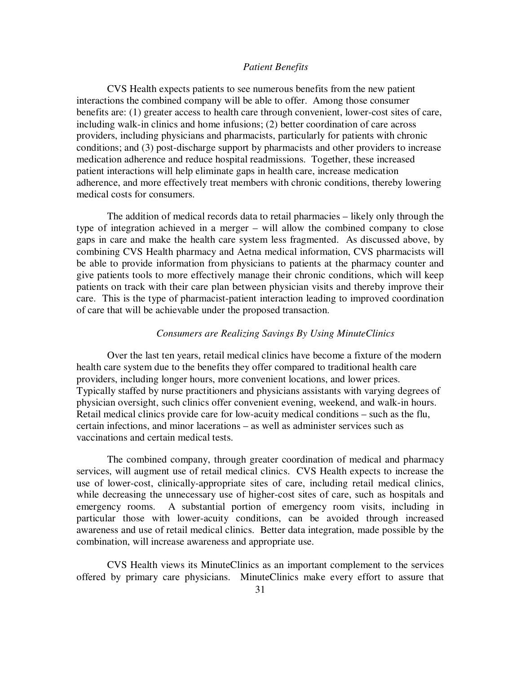#### *Patient Benefits*

 CVS Health expects patients to see numerous benefits from the new patient interactions the combined company will be able to offer. Among those consumer benefits are: (1) greater access to health care through convenient, lower-cost sites of care, including walk-in clinics and home infusions; (2) better coordination of care across providers, including physicians and pharmacists, particularly for patients with chronic conditions; and (3) post-discharge support by pharmacists and other providers to increase medication adherence and reduce hospital readmissions. Together, these increased patient interactions will help eliminate gaps in health care, increase medication adherence, and more effectively treat members with chronic conditions, thereby lowering medical costs for consumers.

 The addition of medical records data to retail pharmacies – likely only through the type of integration achieved in a merger – will allow the combined company to close gaps in care and make the health care system less fragmented. As discussed above, by combining CVS Health pharmacy and Aetna medical information, CVS pharmacists will be able to provide information from physicians to patients at the pharmacy counter and give patients tools to more effectively manage their chronic conditions, which will keep patients on track with their care plan between physician visits and thereby improve their care. This is the type of pharmacist-patient interaction leading to improved coordination of care that will be achievable under the proposed transaction.

### *Consumers are Realizing Savings By Using MinuteClinics*

 Over the last ten years, retail medical clinics have become a fixture of the modern health care system due to the benefits they offer compared to traditional health care providers, including longer hours, more convenient locations, and lower prices. Typically staffed by nurse practitioners and physicians assistants with varying degrees of physician oversight, such clinics offer convenient evening, weekend, and walk-in hours. Retail medical clinics provide care for low-acuity medical conditions – such as the flu, certain infections, and minor lacerations – as well as administer services such as vaccinations and certain medical tests.

 The combined company, through greater coordination of medical and pharmacy services, will augment use of retail medical clinics. CVS Health expects to increase the use of lower-cost, clinically-appropriate sites of care, including retail medical clinics, while decreasing the unnecessary use of higher-cost sites of care, such as hospitals and emergency rooms. A substantial portion of emergency room visits, including in particular those with lower-acuity conditions, can be avoided through increased awareness and use of retail medical clinics. Better data integration, made possible by the combination, will increase awareness and appropriate use.

 CVS Health views its MinuteClinics as an important complement to the services offered by primary care physicians. MinuteClinics make every effort to assure that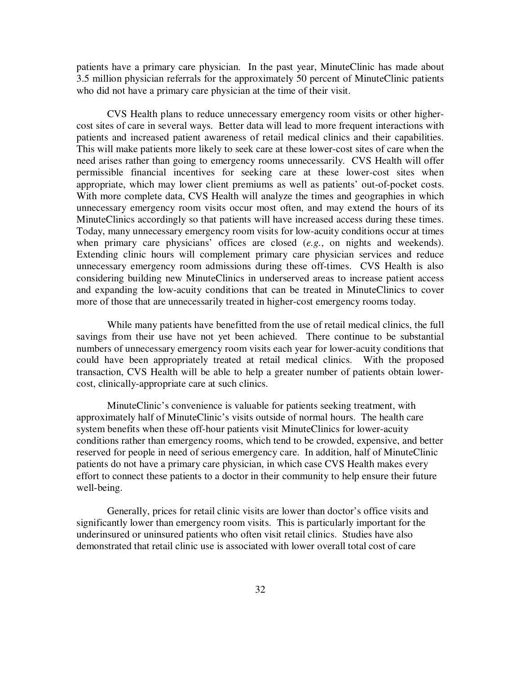patients have a primary care physician. In the past year, MinuteClinic has made about 3.5 million physician referrals for the approximately 50 percent of MinuteClinic patients who did not have a primary care physician at the time of their visit.

 CVS Health plans to reduce unnecessary emergency room visits or other highercost sites of care in several ways. Better data will lead to more frequent interactions with patients and increased patient awareness of retail medical clinics and their capabilities. This will make patients more likely to seek care at these lower-cost sites of care when the need arises rather than going to emergency rooms unnecessarily. CVS Health will offer permissible financial incentives for seeking care at these lower-cost sites when appropriate, which may lower client premiums as well as patients' out-of-pocket costs. With more complete data, CVS Health will analyze the times and geographies in which unnecessary emergency room visits occur most often, and may extend the hours of its MinuteClinics accordingly so that patients will have increased access during these times. Today, many unnecessary emergency room visits for low-acuity conditions occur at times when primary care physicians' offices are closed (*e.g.*, on nights and weekends). Extending clinic hours will complement primary care physician services and reduce unnecessary emergency room admissions during these off-times. CVS Health is also considering building new MinuteClinics in underserved areas to increase patient access and expanding the low-acuity conditions that can be treated in MinuteClinics to cover more of those that are unnecessarily treated in higher-cost emergency rooms today.

 While many patients have benefitted from the use of retail medical clinics, the full savings from their use have not yet been achieved. There continue to be substantial numbers of unnecessary emergency room visits each year for lower-acuity conditions that could have been appropriately treated at retail medical clinics. With the proposed transaction, CVS Health will be able to help a greater number of patients obtain lowercost, clinically-appropriate care at such clinics.

 MinuteClinic's convenience is valuable for patients seeking treatment, with approximately half of MinuteClinic's visits outside of normal hours. The health care system benefits when these off-hour patients visit MinuteClinics for lower-acuity conditions rather than emergency rooms, which tend to be crowded, expensive, and better reserved for people in need of serious emergency care. In addition, half of MinuteClinic patients do not have a primary care physician, in which case CVS Health makes every effort to connect these patients to a doctor in their community to help ensure their future well-being.

 Generally, prices for retail clinic visits are lower than doctor's office visits and significantly lower than emergency room visits. This is particularly important for the underinsured or uninsured patients who often visit retail clinics. Studies have also demonstrated that retail clinic use is associated with lower overall total cost of care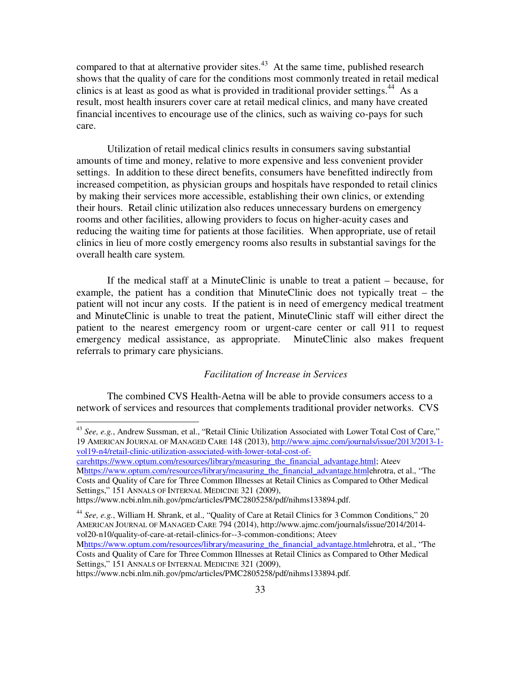compared to that at alternative provider sites.<sup>43</sup> At the same time, published research shows that the quality of care for the conditions most commonly treated in retail medical clinics is at least as good as what is provided in traditional provider settings.<sup>44</sup> As a result, most health insurers cover care at retail medical clinics, and many have created financial incentives to encourage use of the clinics, such as waiving co-pays for such care.

 Utilization of retail medical clinics results in consumers saving substantial amounts of time and money, relative to more expensive and less convenient provider settings. In addition to these direct benefits, consumers have benefitted indirectly from increased competition, as physician groups and hospitals have responded to retail clinics by making their services more accessible, establishing their own clinics, or extending their hours. Retail clinic utilization also reduces unnecessary burdens on emergency rooms and other facilities, allowing providers to focus on higher-acuity cases and reducing the waiting time for patients at those facilities. When appropriate, use of retail clinics in lieu of more costly emergency rooms also results in substantial savings for the overall health care system.

 If the medical staff at a MinuteClinic is unable to treat a patient – because, for example, the patient has a condition that MinuteClinic does not typically treat – the patient will not incur any costs. If the patient is in need of emergency medical treatment and MinuteClinic is unable to treat the patient, MinuteClinic staff will either direct the patient to the nearest emergency room or urgent-care center or call 911 to request emergency medical assistance, as appropriate. MinuteClinic also makes frequent referrals to primary care physicians.

### *Facilitation of Increase in Services*

 The combined CVS Health-Aetna will be able to provide consumers access to a network of services and resources that complements traditional provider networks. CVS

<sup>43</sup> *See, e.g.*, Andrew Sussman, et al., "Retail Clinic Utilization Associated with Lower Total Cost of Care," 19 AMERICAN JOURNAL OF MANAGED CARE 148 (2013), http://www.ajmc.com/journals/issue/2013/2013-1 vol19-n4/retail-clinic-utilization-associated-with-lower-total-cost-of-

carehttps://www.optum.com/resources/library/measuring\_the\_financial\_advantage.html; Ateev Mhttps://www.optum.com/resources/library/measuring\_the\_financial\_advantage.htmlehrotra, et al., "The Costs and Quality of Care for Three Common Illnesses at Retail Clinics as Compared to Other Medical Settings," 151 ANNALS OF INTERNAL MEDICINE 321 (2009),

https://www.ncbi.nlm.nih.gov/pmc/articles/PMC2805258/pdf/nihms133894.pdf.

<sup>44</sup> *See, e.g.*, William H. Shrank, et al., "Quality of Care at Retail Clinics for 3 Common Conditions," 20 AMERICAN JOURNAL OF MANAGED CARE 794 (2014), http://www.ajmc.com/journals/issue/2014/2014 vol20-n10/quality-of-care-at-retail-clinics-for--3-common-conditions; Ateev

Mhttps://www.optum.com/resources/library/measuring\_the\_financial\_advantage.htmlehrotra, et al., "The Costs and Quality of Care for Three Common Illnesses at Retail Clinics as Compared to Other Medical Settings," 151 ANNALS OF INTERNAL MEDICINE 321 (2009),

https://www.ncbi.nlm.nih.gov/pmc/articles/PMC2805258/pdf/nihms133894.pdf.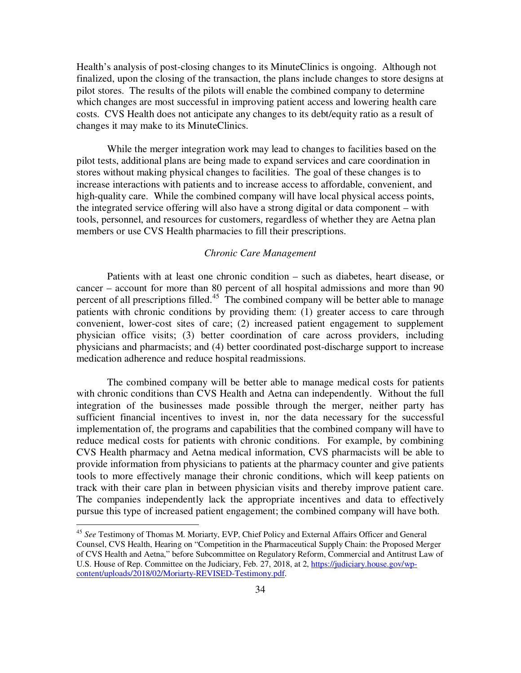Health's analysis of post-closing changes to its MinuteClinics is ongoing. Although not finalized, upon the closing of the transaction, the plans include changes to store designs at pilot stores. The results of the pilots will enable the combined company to determine which changes are most successful in improving patient access and lowering health care costs. CVS Health does not anticipate any changes to its debt/equity ratio as a result of changes it may make to its MinuteClinics.

 While the merger integration work may lead to changes to facilities based on the pilot tests, additional plans are being made to expand services and care coordination in stores without making physical changes to facilities. The goal of these changes is to increase interactions with patients and to increase access to affordable, convenient, and high-quality care. While the combined company will have local physical access points, the integrated service offering will also have a strong digital or data component – with tools, personnel, and resources for customers, regardless of whether they are Aetna plan members or use CVS Health pharmacies to fill their prescriptions.

### *Chronic Care Management*

 Patients with at least one chronic condition – such as diabetes, heart disease, or cancer – account for more than 80 percent of all hospital admissions and more than 90 percent of all prescriptions filled.<sup>45</sup> The combined company will be better able to manage patients with chronic conditions by providing them: (1) greater access to care through convenient, lower-cost sites of care; (2) increased patient engagement to supplement physician office visits; (3) better coordination of care across providers, including physicians and pharmacists; and (4) better coordinated post-discharge support to increase medication adherence and reduce hospital readmissions.

 The combined company will be better able to manage medical costs for patients with chronic conditions than CVS Health and Aetna can independently. Without the full integration of the businesses made possible through the merger, neither party has sufficient financial incentives to invest in, nor the data necessary for the successful implementation of, the programs and capabilities that the combined company will have to reduce medical costs for patients with chronic conditions. For example, by combining CVS Health pharmacy and Aetna medical information, CVS pharmacists will be able to provide information from physicians to patients at the pharmacy counter and give patients tools to more effectively manage their chronic conditions, which will keep patients on track with their care plan in between physician visits and thereby improve patient care. The companies independently lack the appropriate incentives and data to effectively pursue this type of increased patient engagement; the combined company will have both.

<u>.</u>

<sup>45</sup> *See* Testimony of Thomas M. Moriarty, EVP, Chief Policy and External Affairs Officer and General Counsel, CVS Health, Hearing on "Competition in the Pharmaceutical Supply Chain: the Proposed Merger of CVS Health and Aetna," before Subcommittee on Regulatory Reform, Commercial and Antitrust Law of U.S. House of Rep. Committee on the Judiciary, Feb. 27, 2018, at 2, https://judiciary.house.gov/wpcontent/uploads/2018/02/Moriarty-REVISED-Testimony.pdf.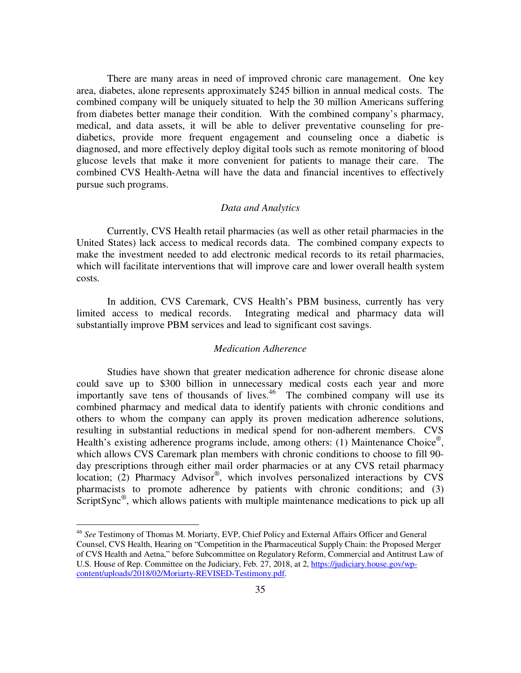There are many areas in need of improved chronic care management. One key area, diabetes, alone represents approximately \$245 billion in annual medical costs. The combined company will be uniquely situated to help the 30 million Americans suffering from diabetes better manage their condition. With the combined company's pharmacy, medical, and data assets, it will be able to deliver preventative counseling for prediabetics, provide more frequent engagement and counseling once a diabetic is diagnosed, and more effectively deploy digital tools such as remote monitoring of blood glucose levels that make it more convenient for patients to manage their care. The combined CVS Health-Aetna will have the data and financial incentives to effectively pursue such programs.

### *Data and Analytics*

 Currently, CVS Health retail pharmacies (as well as other retail pharmacies in the United States) lack access to medical records data. The combined company expects to make the investment needed to add electronic medical records to its retail pharmacies, which will facilitate interventions that will improve care and lower overall health system costs.

 In addition, CVS Caremark, CVS Health's PBM business, currently has very limited access to medical records. Integrating medical and pharmacy data will substantially improve PBM services and lead to significant cost savings.

#### *Medication Adherence*

 Studies have shown that greater medication adherence for chronic disease alone could save up to \$300 billion in unnecessary medical costs each year and more importantly save tens of thousands of lives. $46$  The combined company will use its combined pharmacy and medical data to identify patients with chronic conditions and others to whom the company can apply its proven medication adherence solutions, resulting in substantial reductions in medical spend for non-adherent members. CVS Health's existing adherence programs include, among others: (1) Maintenance Choice<sup>®</sup>, which allows CVS Caremark plan members with chronic conditions to choose to fill 90 day prescriptions through either mail order pharmacies or at any CVS retail pharmacy location; (2) Pharmacy Advisor® , which involves personalized interactions by CVS pharmacists to promote adherence by patients with chronic conditions; and (3) ScriptSync<sup>®</sup>, which allows patients with multiple maintenance medications to pick up all

<sup>46</sup> *See* Testimony of Thomas M. Moriarty, EVP, Chief Policy and External Affairs Officer and General Counsel, CVS Health, Hearing on "Competition in the Pharmaceutical Supply Chain: the Proposed Merger of CVS Health and Aetna," before Subcommittee on Regulatory Reform, Commercial and Antitrust Law of U.S. House of Rep. Committee on the Judiciary, Feb. 27, 2018, at 2, https://judiciary.house.gov/wpcontent/uploads/2018/02/Moriarty-REVISED-Testimony.pdf.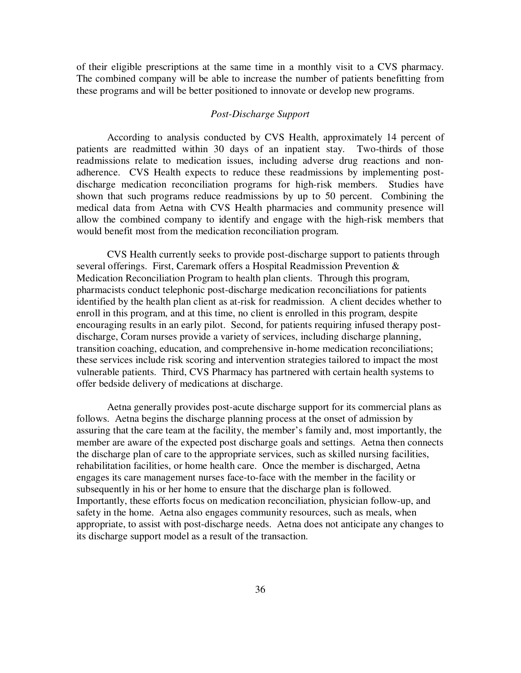of their eligible prescriptions at the same time in a monthly visit to a CVS pharmacy. The combined company will be able to increase the number of patients benefitting from these programs and will be better positioned to innovate or develop new programs.

### *Post-Discharge Support*

 According to analysis conducted by CVS Health, approximately 14 percent of patients are readmitted within 30 days of an inpatient stay. Two-thirds of those readmissions relate to medication issues, including adverse drug reactions and nonadherence. CVS Health expects to reduce these readmissions by implementing postdischarge medication reconciliation programs for high-risk members. Studies have shown that such programs reduce readmissions by up to 50 percent. Combining the medical data from Aetna with CVS Health pharmacies and community presence will allow the combined company to identify and engage with the high-risk members that would benefit most from the medication reconciliation program.

 CVS Health currently seeks to provide post-discharge support to patients through several offerings. First, Caremark offers a Hospital Readmission Prevention & Medication Reconciliation Program to health plan clients. Through this program, pharmacists conduct telephonic post-discharge medication reconciliations for patients identified by the health plan client as at-risk for readmission. A client decides whether to enroll in this program, and at this time, no client is enrolled in this program, despite encouraging results in an early pilot. Second, for patients requiring infused therapy postdischarge, Coram nurses provide a variety of services, including discharge planning, transition coaching, education, and comprehensive in-home medication reconciliations; these services include risk scoring and intervention strategies tailored to impact the most vulnerable patients. Third, CVS Pharmacy has partnered with certain health systems to offer bedside delivery of medications at discharge.

 Aetna generally provides post-acute discharge support for its commercial plans as follows. Aetna begins the discharge planning process at the onset of admission by assuring that the care team at the facility, the member's family and, most importantly, the member are aware of the expected post discharge goals and settings. Aetna then connects the discharge plan of care to the appropriate services, such as skilled nursing facilities, rehabilitation facilities, or home health care. Once the member is discharged, Aetna engages its care management nurses face-to-face with the member in the facility or subsequently in his or her home to ensure that the discharge plan is followed. Importantly, these efforts focus on medication reconciliation, physician follow-up, and safety in the home. Aetna also engages community resources, such as meals, when appropriate, to assist with post-discharge needs. Aetna does not anticipate any changes to its discharge support model as a result of the transaction.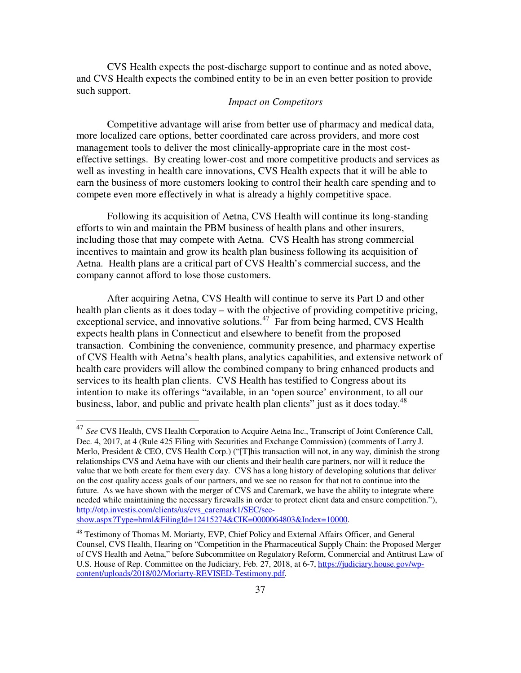CVS Health expects the post-discharge support to continue and as noted above, and CVS Health expects the combined entity to be in an even better position to provide such support.

#### *Impact on Competitors*

 Competitive advantage will arise from better use of pharmacy and medical data, more localized care options, better coordinated care across providers, and more cost management tools to deliver the most clinically-appropriate care in the most costeffective settings. By creating lower-cost and more competitive products and services as well as investing in health care innovations, CVS Health expects that it will be able to earn the business of more customers looking to control their health care spending and to compete even more effectively in what is already a highly competitive space.

 Following its acquisition of Aetna, CVS Health will continue its long-standing efforts to win and maintain the PBM business of health plans and other insurers, including those that may compete with Aetna. CVS Health has strong commercial incentives to maintain and grow its health plan business following its acquisition of Aetna. Health plans are a critical part of CVS Health's commercial success, and the company cannot afford to lose those customers.

 After acquiring Aetna, CVS Health will continue to serve its Part D and other health plan clients as it does today – with the objective of providing competitive pricing, exceptional service, and innovative solutions.<sup>47</sup> Far from being harmed, CVS Health expects health plans in Connecticut and elsewhere to benefit from the proposed transaction. Combining the convenience, community presence, and pharmacy expertise of CVS Health with Aetna's health plans, analytics capabilities, and extensive network of health care providers will allow the combined company to bring enhanced products and services to its health plan clients. CVS Health has testified to Congress about its intention to make its offerings "available, in an 'open source' environment, to all our business, labor, and public and private health plan clients" just as it does today.<sup>48</sup>

<sup>47</sup> *See* CVS Health, CVS Health Corporation to Acquire Aetna Inc., Transcript of Joint Conference Call, Dec. 4, 2017, at 4 (Rule 425 Filing with Securities and Exchange Commission) (comments of Larry J. Merlo, President & CEO, CVS Health Corp.) ("[T]his transaction will not, in any way, diminish the strong relationships CVS and Aetna have with our clients and their health care partners, nor will it reduce the value that we both create for them every day. CVS has a long history of developing solutions that deliver on the cost quality access goals of our partners, and we see no reason for that not to continue into the future. As we have shown with the merger of CVS and Caremark, we have the ability to integrate where needed while maintaining the necessary firewalls in order to protect client data and ensure competition."), http://otp.investis.com/clients/us/cvs\_caremark1/SEC/secshow.aspx?Type=html&FilingId=12415274&CIK=0000064803&Index=10000.

<sup>&</sup>lt;sup>48</sup> Testimony of Thomas M. Moriarty, EVP, Chief Policy and External Affairs Officer, and General Counsel, CVS Health, Hearing on "Competition in the Pharmaceutical Supply Chain: the Proposed Merger of CVS Health and Aetna," before Subcommittee on Regulatory Reform, Commercial and Antitrust Law of U.S. House of Rep. Committee on the Judiciary, Feb. 27, 2018, at 6-7, https://judiciary.house.gov/wpcontent/uploads/2018/02/Moriarty-REVISED-Testimony.pdf.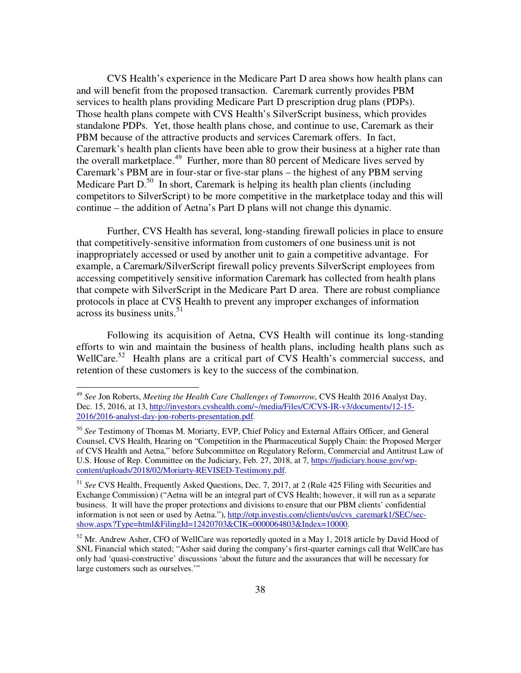CVS Health's experience in the Medicare Part D area shows how health plans can and will benefit from the proposed transaction. Caremark currently provides PBM services to health plans providing Medicare Part D prescription drug plans (PDPs). Those health plans compete with CVS Health's SilverScript business, which provides standalone PDPs. Yet, those health plans chose, and continue to use, Caremark as their PBM because of the attractive products and services Caremark offers. In fact, Caremark's health plan clients have been able to grow their business at a higher rate than the overall marketplace.<sup>49</sup> Further, more than 80 percent of Medicare lives served by Caremark's PBM are in four-star or five-star plans – the highest of any PBM serving Medicare Part  $D<sup>50</sup>$  In short, Caremark is helping its health plan clients (including competitors to SilverScript) to be more competitive in the marketplace today and this will continue – the addition of Aetna's Part D plans will not change this dynamic.

 Further, CVS Health has several, long-standing firewall policies in place to ensure that competitively-sensitive information from customers of one business unit is not inappropriately accessed or used by another unit to gain a competitive advantage. For example, a Caremark/SilverScript firewall policy prevents SilverScript employees from accessing competitively sensitive information Caremark has collected from health plans that compete with SilverScript in the Medicare Part D area. There are robust compliance protocols in place at CVS Health to prevent any improper exchanges of information across its business units. $51$ 

 Following its acquisition of Aetna, CVS Health will continue its long-standing efforts to win and maintain the business of health plans, including health plans such as WellCare.<sup>52</sup> Health plans are a critical part of CVS Health's commercial success, and retention of these customers is key to the success of the combination.

<sup>49</sup> *See* Jon Roberts, *Meeting the Health Care Challenges of Tomorrow*, CVS Health 2016 Analyst Day, Dec. 15, 2016, at 13, http://investors.cvshealth.com/~/media/Files/C/CVS-IR-v3/documents/12-15- 2016/2016-analyst-day-jon-roberts-presentation.pdf.

<sup>50</sup> *See* Testimony of Thomas M. Moriarty, EVP, Chief Policy and External Affairs Officer, and General Counsel, CVS Health, Hearing on "Competition in the Pharmaceutical Supply Chain: the Proposed Merger of CVS Health and Aetna," before Subcommittee on Regulatory Reform, Commercial and Antitrust Law of U.S. House of Rep. Committee on the Judiciary, Feb. 27, 2018, at 7, https://judiciary.house.gov/wpcontent/uploads/2018/02/Moriarty-REVISED-Testimony.pdf.

<sup>51</sup> *See* CVS Health, Frequently Asked Questions, Dec. 7, 2017, at 2 (Rule 425 Filing with Securities and Exchange Commission) ("Aetna will be an integral part of CVS Health; however, it will run as a separate business. It will have the proper protections and divisions to ensure that our PBM clients' confidential information is not seen or used by Aetna."), http://otp.investis.com/clients/us/cvs\_caremark1/SEC/secshow.aspx?Type=html&FilingId=12420703&CIK=0000064803&Index=10000.

<sup>52</sup> Mr. Andrew Asher, CFO of WellCare was reportedly quoted in a May 1, 2018 article by David Hood of SNL Financial which stated; "Asher said during the company's first-quarter earnings call that WellCare has only had 'quasi-constructive' discussions 'about the future and the assurances that will be necessary for large customers such as ourselves.'"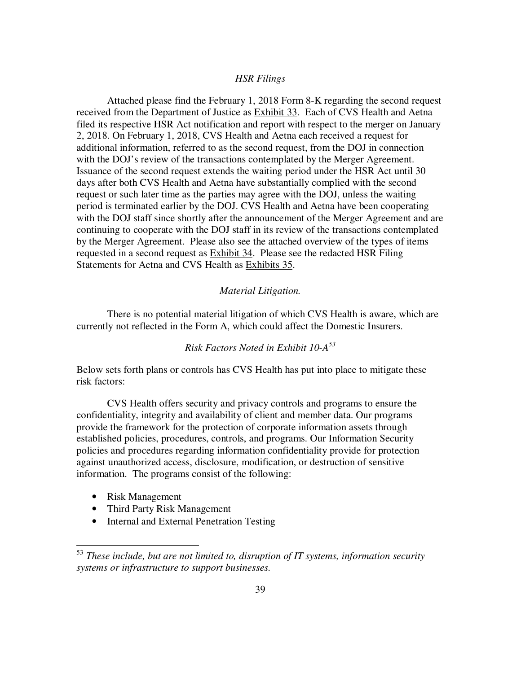## *HSR Filings*

 Attached please find the February 1, 2018 Form 8-K regarding the second request received from the Department of Justice as Exhibit 33. Each of CVS Health and Aetna filed its respective HSR Act notification and report with respect to the merger on January 2, 2018. On February 1, 2018, CVS Health and Aetna each received a request for additional information, referred to as the second request, from the DOJ in connection with the DOJ's review of the transactions contemplated by the Merger Agreement. Issuance of the second request extends the waiting period under the HSR Act until 30 days after both CVS Health and Aetna have substantially complied with the second request or such later time as the parties may agree with the DOJ, unless the waiting period is terminated earlier by the DOJ. CVS Health and Aetna have been cooperating with the DOJ staff since shortly after the announcement of the Merger Agreement and are continuing to cooperate with the DOJ staff in its review of the transactions contemplated by the Merger Agreement. Please also see the attached overview of the types of items requested in a second request as Exhibit 34. Please see the redacted HSR Filing Statements for Aetna and CVS Health as Exhibits 35.

### *Material Litigation.*

 There is no potential material litigation of which CVS Health is aware, which are currently not reflected in the Form A, which could affect the Domestic Insurers.

# *Risk Factors Noted in Exhibit 10-A<sup>53</sup>*

Below sets forth plans or controls has CVS Health has put into place to mitigate these risk factors:

 CVS Health offers security and privacy controls and programs to ensure the confidentiality, integrity and availability of client and member data. Our programs provide the framework for the protection of corporate information assets through established policies, procedures, controls, and programs. Our Information Security policies and procedures regarding information confidentiality provide for protection against unauthorized access, disclosure, modification, or destruction of sensitive information. The programs consist of the following:

• Risk Management

- Third Party Risk Management
- Internal and External Penetration Testing

<sup>53</sup> *These include, but are not limited to, disruption of IT systems, information security systems or infrastructure to support businesses.*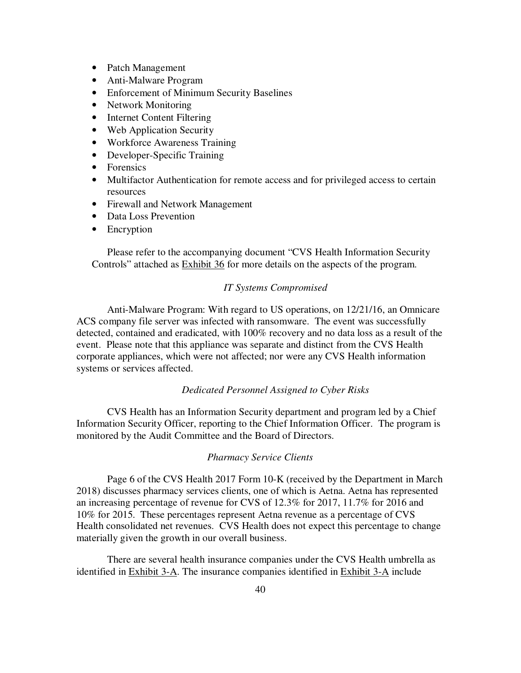- Patch Management
- Anti-Malware Program
- Enforcement of Minimum Security Baselines
- Network Monitoring
- Internet Content Filtering
- Web Application Security
- Workforce Awareness Training
- Developer-Specific Training
- Forensics
- Multifactor Authentication for remote access and for privileged access to certain resources
- Firewall and Network Management
- Data Loss Prevention
- Encryption

 Please refer to the accompanying document "CVS Health Information Security Controls" attached as Exhibit 36 for more details on the aspects of the program.

#### *IT Systems Compromised*

 Anti-Malware Program: With regard to US operations, on 12/21/16, an Omnicare ACS company file server was infected with ransomware. The event was successfully detected, contained and eradicated, with 100% recovery and no data loss as a result of the event. Please note that this appliance was separate and distinct from the CVS Health corporate appliances, which were not affected; nor were any CVS Health information systems or services affected.

## *Dedicated Personnel Assigned to Cyber Risks*

 CVS Health has an Information Security department and program led by a Chief Information Security Officer, reporting to the Chief Information Officer. The program is monitored by the Audit Committee and the Board of Directors.

### *Pharmacy Service Clients*

 Page 6 of the CVS Health 2017 Form 10-K (received by the Department in March 2018) discusses pharmacy services clients, one of which is Aetna. Aetna has represented an increasing percentage of revenue for CVS of 12.3% for 2017, 11.7% for 2016 and 10% for 2015. These percentages represent Aetna revenue as a percentage of CVS Health consolidated net revenues. CVS Health does not expect this percentage to change materially given the growth in our overall business.

 There are several health insurance companies under the CVS Health umbrella as identified in Exhibit 3-A. The insurance companies identified in Exhibit 3-A include